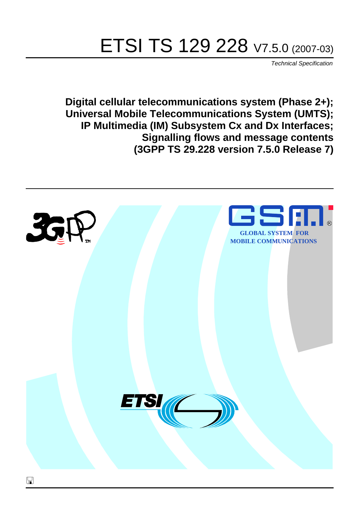# ETSI TS 129 228 V7.5.0 (2007-03)

Technical Specification

**Digital cellular telecommunications system (Phase 2+); Universal Mobile Telecommunications System (UMTS); IP Multimedia (IM) Subsystem Cx and Dx Interfaces; Signalling flows and message contents (3GPP TS 29.228 version 7.5.0 Release 7)**

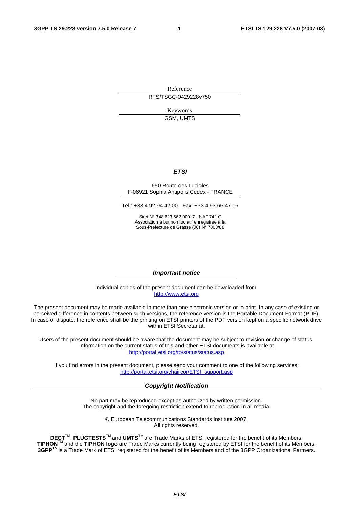Reference RTS/TSGC-0429228v750

> Keywords GSM, UMTS

#### **ETSI**

#### 650 Route des Lucioles F-06921 Sophia Antipolis Cedex - FRANCE

Tel.: +33 4 92 94 42 00 Fax: +33 4 93 65 47 16

Siret N° 348 623 562 00017 - NAF 742 C Association à but non lucratif enregistrée à la Sous-Préfecture de Grasse (06) N° 7803/88

#### **Important notice**

Individual copies of the present document can be downloaded from: [http://www.etsi.org](http://www.etsi.org/)

The present document may be made available in more than one electronic version or in print. In any case of existing or perceived difference in contents between such versions, the reference version is the Portable Document Format (PDF). In case of dispute, the reference shall be the printing on ETSI printers of the PDF version kept on a specific network drive within ETSI Secretariat.

Users of the present document should be aware that the document may be subject to revision or change of status. Information on the current status of this and other ETSI documents is available at <http://portal.etsi.org/tb/status/status.asp>

If you find errors in the present document, please send your comment to one of the following services: [http://portal.etsi.org/chaircor/ETSI\\_support.asp](http://portal.etsi.org/chaircor/ETSI_support.asp)

#### **Copyright Notification**

No part may be reproduced except as authorized by written permission. The copyright and the foregoing restriction extend to reproduction in all media.

> © European Telecommunications Standards Institute 2007. All rights reserved.

**DECT**TM, **PLUGTESTS**TM and **UMTS**TM are Trade Marks of ETSI registered for the benefit of its Members. **TIPHON**TM and the **TIPHON logo** are Trade Marks currently being registered by ETSI for the benefit of its Members. **3GPP**TM is a Trade Mark of ETSI registered for the benefit of its Members and of the 3GPP Organizational Partners.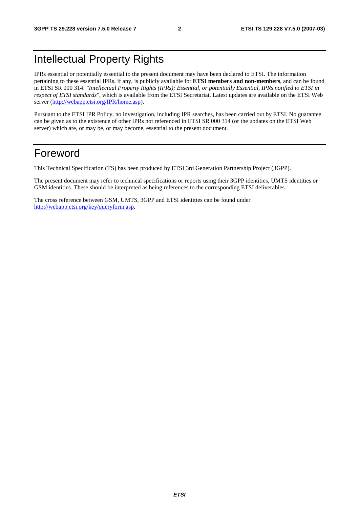# Intellectual Property Rights

IPRs essential or potentially essential to the present document may have been declared to ETSI. The information pertaining to these essential IPRs, if any, is publicly available for **ETSI members and non-members**, and can be found in ETSI SR 000 314: *"Intellectual Property Rights (IPRs); Essential, or potentially Essential, IPRs notified to ETSI in respect of ETSI standards"*, which is available from the ETSI Secretariat. Latest updates are available on the ETSI Web server ([http://webapp.etsi.org/IPR/home.asp\)](http://webapp.etsi.org/IPR/home.asp).

Pursuant to the ETSI IPR Policy, no investigation, including IPR searches, has been carried out by ETSI. No guarantee can be given as to the existence of other IPRs not referenced in ETSI SR 000 314 (or the updates on the ETSI Web server) which are, or may be, or may become, essential to the present document.

## Foreword

This Technical Specification (TS) has been produced by ETSI 3rd Generation Partnership Project (3GPP).

The present document may refer to technical specifications or reports using their 3GPP identities, UMTS identities or GSM identities. These should be interpreted as being references to the corresponding ETSI deliverables.

The cross reference between GSM, UMTS, 3GPP and ETSI identities can be found under [http://webapp.etsi.org/key/queryform.asp.](http://webapp.etsi.org/key/queryform.asp)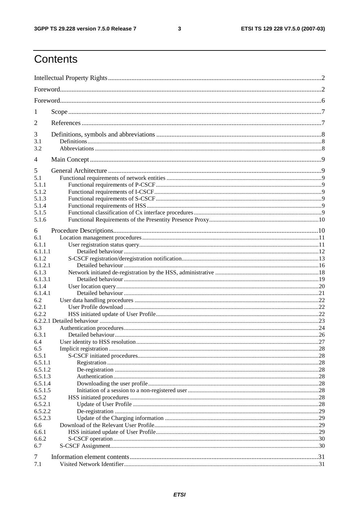#### $\mathbf{3}$

# Contents

| 1       |  |  |  |  |  |  |  |
|---------|--|--|--|--|--|--|--|
| 2       |  |  |  |  |  |  |  |
| 3       |  |  |  |  |  |  |  |
| 3.1     |  |  |  |  |  |  |  |
| 3.2     |  |  |  |  |  |  |  |
| 4       |  |  |  |  |  |  |  |
| 5       |  |  |  |  |  |  |  |
| 5.1     |  |  |  |  |  |  |  |
| 5.1.1   |  |  |  |  |  |  |  |
| 5.1.2   |  |  |  |  |  |  |  |
| 5.1.3   |  |  |  |  |  |  |  |
| 5.1.4   |  |  |  |  |  |  |  |
| 5.1.5   |  |  |  |  |  |  |  |
| 5.1.6   |  |  |  |  |  |  |  |
| 6       |  |  |  |  |  |  |  |
| 6.1     |  |  |  |  |  |  |  |
| 6.1.1   |  |  |  |  |  |  |  |
| 6.1.1.1 |  |  |  |  |  |  |  |
| 6.1.2   |  |  |  |  |  |  |  |
| 6.1.2.1 |  |  |  |  |  |  |  |
| 6.1.3   |  |  |  |  |  |  |  |
| 6.1.3.1 |  |  |  |  |  |  |  |
| 6.1.4   |  |  |  |  |  |  |  |
| 6.1.4.1 |  |  |  |  |  |  |  |
| 6.2     |  |  |  |  |  |  |  |
| 6.2.1   |  |  |  |  |  |  |  |
| 6.2.2   |  |  |  |  |  |  |  |
|         |  |  |  |  |  |  |  |
| 6.3     |  |  |  |  |  |  |  |
| 6.3.1   |  |  |  |  |  |  |  |
| 6.4     |  |  |  |  |  |  |  |
| 6.5     |  |  |  |  |  |  |  |
| 6.5.1   |  |  |  |  |  |  |  |
| 6.5.1.1 |  |  |  |  |  |  |  |
| 6.5.1.2 |  |  |  |  |  |  |  |
| 6.5.1.3 |  |  |  |  |  |  |  |
| 6.5.1.4 |  |  |  |  |  |  |  |
| 6.5.1.5 |  |  |  |  |  |  |  |
| 6.5.2   |  |  |  |  |  |  |  |
| 6.5.2.1 |  |  |  |  |  |  |  |
| 6.5.2.2 |  |  |  |  |  |  |  |
| 6.5.2.3 |  |  |  |  |  |  |  |
| 6.6     |  |  |  |  |  |  |  |
| 6.6.1   |  |  |  |  |  |  |  |
| 6.6.2   |  |  |  |  |  |  |  |
| 6.7     |  |  |  |  |  |  |  |
|         |  |  |  |  |  |  |  |
| 7       |  |  |  |  |  |  |  |
| 7.1     |  |  |  |  |  |  |  |
|         |  |  |  |  |  |  |  |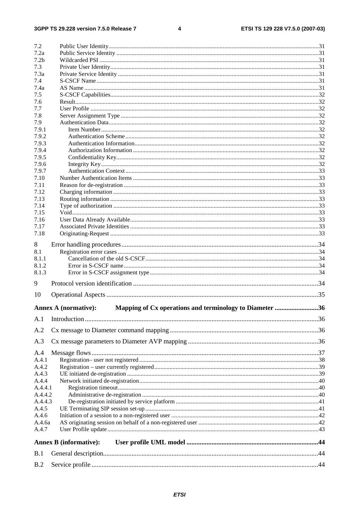#### $\overline{\mathbf{4}}$

| 7.2              |                                                                                        |  |
|------------------|----------------------------------------------------------------------------------------|--|
| 7.2a             |                                                                                        |  |
| 7.2 <sub>b</sub> |                                                                                        |  |
| 7.3              |                                                                                        |  |
| 7.3a             |                                                                                        |  |
| 7.4              |                                                                                        |  |
| 7.4a             |                                                                                        |  |
| 7.5              |                                                                                        |  |
| 7.6              |                                                                                        |  |
| 7.7              |                                                                                        |  |
| 7.8              |                                                                                        |  |
| 7.9              |                                                                                        |  |
| 7.9.1            |                                                                                        |  |
| 7.9.2            |                                                                                        |  |
| 7.9.3            |                                                                                        |  |
| 7.9.4            |                                                                                        |  |
| 7.9.5            |                                                                                        |  |
| 7.9.6            |                                                                                        |  |
| 7.9.7            |                                                                                        |  |
| 7.10             |                                                                                        |  |
| 7.11             |                                                                                        |  |
| 7.12             |                                                                                        |  |
| 7.13             |                                                                                        |  |
| 7.14             |                                                                                        |  |
| 7.15             |                                                                                        |  |
| 7.16             |                                                                                        |  |
| 7.17             |                                                                                        |  |
| 7.18             |                                                                                        |  |
| 8                |                                                                                        |  |
| 8.1              |                                                                                        |  |
| 8.1.1            |                                                                                        |  |
| 8.1.2            |                                                                                        |  |
| 8.1.3            |                                                                                        |  |
|                  |                                                                                        |  |
| 9                |                                                                                        |  |
| 10               |                                                                                        |  |
|                  | Mapping of Cx operations and terminology to Diameter 36<br><b>Annex A (normative):</b> |  |
| A.1              |                                                                                        |  |
|                  |                                                                                        |  |
| A.2              |                                                                                        |  |
| A.3              |                                                                                        |  |
| A.4              |                                                                                        |  |
| A.4.1            |                                                                                        |  |
| A.4.2            |                                                                                        |  |
| A.4.3            |                                                                                        |  |
| A.4.4            |                                                                                        |  |
| A.4.4.1          |                                                                                        |  |
| A.4.4.2          |                                                                                        |  |
| A.4.4.3          |                                                                                        |  |
| A.4.5            |                                                                                        |  |
| A.4.6            |                                                                                        |  |
| A.4.6a           |                                                                                        |  |
| A.4.7            |                                                                                        |  |
|                  | <b>Annex B</b> (informative):                                                          |  |
| B.1              |                                                                                        |  |
| B.2              |                                                                                        |  |
|                  |                                                                                        |  |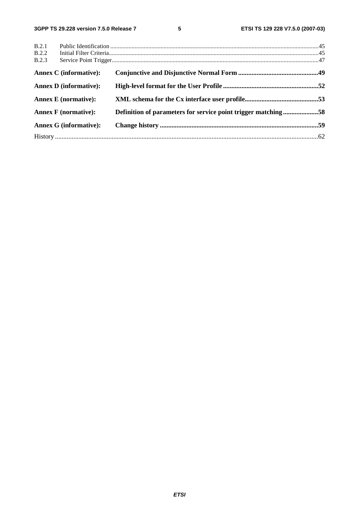| B.2.1 |                               |                                                               |  |
|-------|-------------------------------|---------------------------------------------------------------|--|
| B.2.2 |                               |                                                               |  |
| B.2.3 |                               |                                                               |  |
|       | <b>Annex C</b> (informative): |                                                               |  |
|       | <b>Annex D</b> (informative): |                                                               |  |
|       | <b>Annex E</b> (normative):   |                                                               |  |
|       | <b>Annex F</b> (normative):   | Definition of parameters for service point trigger matching58 |  |
|       | <b>Annex G (informative):</b> |                                                               |  |
|       |                               |                                                               |  |
|       |                               |                                                               |  |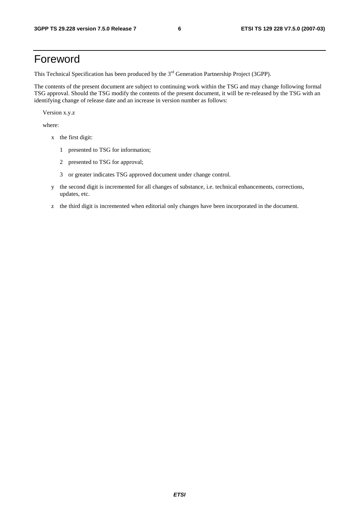## Foreword

This Technical Specification has been produced by the 3<sup>rd</sup> Generation Partnership Project (3GPP).

The contents of the present document are subject to continuing work within the TSG and may change following formal TSG approval. Should the TSG modify the contents of the present document, it will be re-released by the TSG with an identifying change of release date and an increase in version number as follows:

Version x.y.z

where:

- x the first digit:
	- 1 presented to TSG for information;
	- 2 presented to TSG for approval;
	- 3 or greater indicates TSG approved document under change control.
- y the second digit is incremented for all changes of substance, i.e. technical enhancements, corrections, updates, etc.
- z the third digit is incremented when editorial only changes have been incorporated in the document.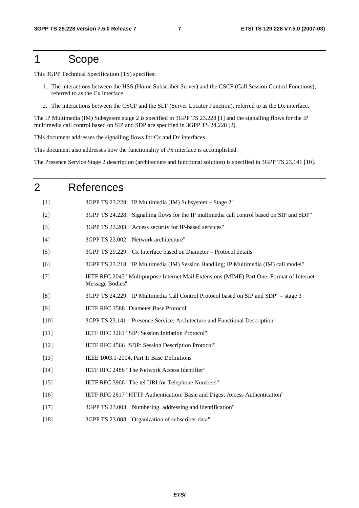## 1 Scope

This 3GPP Technical Specification (TS) specifies:

- 1. The interactions between the HSS (Home Subscriber Server) and the CSCF (Call Session Control Functions), referred to as the Cx interface.
- 2. The interactions between the CSCF and the SLF (Server Locator Function), referred to as the Dx interface.

The IP Multimedia (IM) Subsystem stage 2 is specified in 3GPP TS 23.228 [1] and the signalling flows for the IP multimedia call control based on SIP and SDP are specified in 3GPP TS 24.228 [2].

This document addresses the signalling flows for Cx and Dx interfaces.

This document also addresses how the functionality of Px interface is accomplished.

The Presence Service Stage 2 description (architecture and functional solution) is specified in 3GPP TS 23.141 [10].

#### 2 References

- [1] 3GPP TS 23.228: "IP Multimedia (IM) Subsystem Stage 2"
- [2] 3GPP TS 24.228: "Signalling flows for the IP multimedia call control based on SIP and SDP"
- [3] 3GPP TS 33.203: "Access security for IP-based services"
- [4] 3GPP TS 23.002: "Network architecture"
- [5] 3GPP TS 29.229: "Cx Interface based on Diameter Protocol details"
- [6] 3GPP TS 23.218: "IP Multimedia (IM) Session Handling; IP Multimedia (IM) call model"
- [7] IETF RFC 2045 "Multipurpose Internet Mail Extensions (MIME) Part One: Format of Internet Message Bodies"
- [8] 3GPP TS 24.229: "IP Multimedia Call Control Protocol based on SIP and SDP" stage 3
- [9] IETF RFC 3588 "Diameter Base Protocol"
- [10] 3GPP TS 23.141: "Presence Service; Architecture and Functional Description"
- [11] IETF RFC 3261 "SIP: Session Initiation Protocol"
- [12] IETF RFC 4566 "SDP: Session Description Protocol"
- [13] IEEE 1003.1-2004, Part 1: Base Definitions
- [14] IETF RFC 2486 "The Network Access Identifier"
- [15] IETF RFC 3966 "The tel URI for Telephone Numbers"
- [16] IETF RFC 2617 "HTTP Authentication: Basic and Digest Access Authentication"
- [17] 3GPP TS 23.003: "Numbering, addressing and identification"
- [18] 3GPP TS 23.008: "Organization of subscriber data"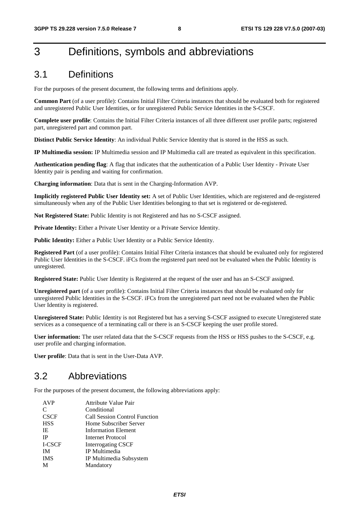# 3 Definitions, symbols and abbreviations

## 3.1 Definitions

For the purposes of the present document, the following terms and definitions apply.

**Common Part** (of a user profile): Contains Initial Filter Criteria instances that should be evaluated both for registered and unregistered Public User Identities, or for unregistered Public Service Identities in the S-CSCF.

**Complete user profile**: Contains the Initial Filter Criteria instances of all three different user profile parts; registered part, unregistered part and common part.

**Distinct Public Service Identity**: An individual Public Service Identity that is stored in the HSS as such.

**IP Multimedia session:** IP Multimedia session and IP Multimedia call are treated as equivalent in this specification.

**Authentication pending flag**: A flag that indicates that the authentication of a Public User Identity - Private User Identity pair is pending and waiting for confirmation.

**Charging information**: Data that is sent in the Charging-Information AVP.

**Implicitly registered Public User Identity set:** A set of Public User Identities, which are registered and de-registered simultaneously when any of the Public User Identities belonging to that set is registered or de-registered.

**Not Registered State:** Public Identity is not Registered and has no S-CSCF assigned.

Private Identity: Either a Private User Identity or a Private Service Identity.

Public Identity: Either a Public User Identity or a Public Service Identity.

**Registered Part** (of a user profile): Contains Initial Filter Criteria instances that should be evaluated only for registered Public User Identities in the S-CSCF. iFCs from the registered part need not be evaluated when the Public Identity is unregistered.

**Registered State:** Public User Identity is Registered at the request of the user and has an S-CSCF assigned.

**Unregistered part** (of a user profile): Contains Initial Filter Criteria instances that should be evaluated only for unregistered Public Identities in the S-CSCF. iFCs from the unregistered part need not be evaluated when the Public User Identity is registered.

**Unregistered State:** Public Identity is not Registered but has a serving S-CSCF assigned to execute Unregistered state services as a consequence of a terminating call or there is an S-CSCF keeping the user profile stored.

**User information:** The user related data that the S-CSCF requests from the HSS or HSS pushes to the S-CSCF, e.g. user profile and charging information.

**User profile**: Data that is sent in the User-Data AVP.

### 3.2 Abbreviations

For the purposes of the present document, the following abbreviations apply:

| <b>AVP</b>  | Attribute Value Pair                 |
|-------------|--------------------------------------|
| C           | Conditional                          |
| <b>CSCF</b> | <b>Call Session Control Function</b> |
| <b>HSS</b>  | Home Subscriber Server               |
| IE          | <b>Information Element</b>           |
| <b>IP</b>   | Internet Protocol                    |
| I-CSCF      | <b>Interrogating CSCF</b>            |
| <b>IM</b>   | IP Multimedia                        |
| <b>IMS</b>  | IP Multimedia Subsystem              |
| M           | Mandatory                            |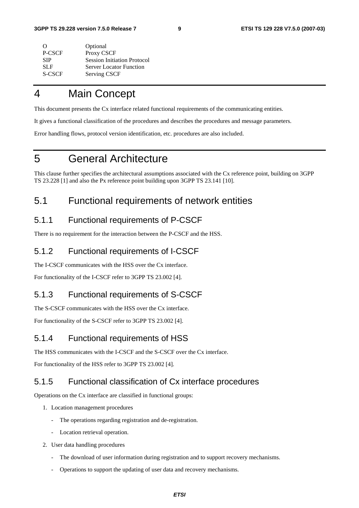| Optional                           |
|------------------------------------|
| Proxy CSCF                         |
| <b>Session Initiation Protocol</b> |
| <b>Server Locator Function</b>     |
| Serving CSCF                       |
|                                    |

# 4 Main Concept

This document presents the Cx interface related functional requirements of the communicating entities.

It gives a functional classification of the procedures and describes the procedures and message parameters.

Error handling flows, protocol version identification, etc. procedures are also included.

# 5 General Architecture

This clause further specifies the architectural assumptions associated with the Cx reference point, building on 3GPP TS 23.228 [1] and also the Px reference point building upon 3GPP TS 23.141 [10].

## 5.1 Functional requirements of network entities

## 5.1.1 Functional requirements of P-CSCF

There is no requirement for the interaction between the P-CSCF and the HSS.

## 5.1.2 Functional requirements of I-CSCF

The I-CSCF communicates with the HSS over the Cx interface.

For functionality of the I-CSCF refer to 3GPP TS 23.002 [4].

### 5.1.3 Functional requirements of S-CSCF

The S-CSCF communicates with the HSS over the Cx interface.

For functionality of the S-CSCF refer to 3GPP TS 23.002 [4].

#### 5.1.4 Functional requirements of HSS

The HSS communicates with the I-CSCF and the S-CSCF over the Cx interface.

For functionality of the HSS refer to 3GPP TS 23.002 [4].

#### 5.1.5 Functional classification of Cx interface procedures

Operations on the Cx interface are classified in functional groups:

- 1. Location management procedures
	- The operations regarding registration and de-registration.
	- Location retrieval operation.
- 2. User data handling procedures
	- The download of user information during registration and to support recovery mechanisms.
	- Operations to support the updating of user data and recovery mechanisms.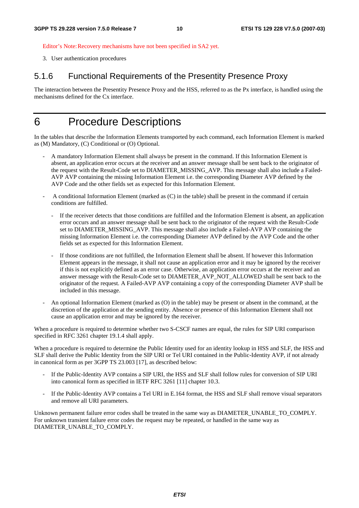Editor's Note: Recovery mechanisms have not been specified in SA2 yet.

3. User authentication procedures

#### 5.1.6 Functional Requirements of the Presentity Presence Proxy

The interaction between the Presentity Presence Proxy and the HSS, referred to as the Px interface, is handled using the mechanisms defined for the Cx interface.

## 6 Procedure Descriptions

In the tables that describe the Information Elements transported by each command, each Information Element is marked as (M) Mandatory, (C) Conditional or (O) Optional.

- A mandatory Information Element shall always be present in the command. If this Information Element is absent, an application error occurs at the receiver and an answer message shall be sent back to the originator of the request with the Result-Code set to DIAMETER\_MISSING\_AVP. This message shall also include a Failed-AVP AVP containing the missing Information Element i.e. the corresponding Diameter AVP defined by the AVP Code and the other fields set as expected for this Information Element.
- A conditional Information Element (marked as (C) in the table) shall be present in the command if certain conditions are fulfilled.
	- If the receiver detects that those conditions are fulfilled and the Information Element is absent, an application error occurs and an answer message shall be sent back to the originator of the request with the Result-Code set to DIAMETER\_MISSING\_AVP. This message shall also include a Failed-AVP AVP containing the missing Information Element i.e. the corresponding Diameter AVP defined by the AVP Code and the other fields set as expected for this Information Element.
	- If those conditions are not fulfilled, the Information Element shall be absent. If however this Information Element appears in the message, it shall not cause an application error and it may be ignored by the receiver if this is not explicitly defined as an error case. Otherwise, an application error occurs at the receiver and an answer message with the Result-Code set to DIAMETER\_AVP\_NOT\_ALLOWED shall be sent back to the originator of the request. A Failed-AVP AVP containing a copy of the corresponding Diameter AVP shall be included in this message.
- An optional Information Element (marked as (O) in the table) may be present or absent in the command, at the discretion of the application at the sending entity. Absence or presence of this Information Element shall not cause an application error and may be ignored by the receiver.

When a procedure is required to determine whether two S-CSCF names are equal, the rules for SIP URI comparison specified in RFC 3261 chapter 19.1.4 shall apply.

When a procedure is required to determine the Public Identity used for an identity lookup in HSS and SLF, the HSS and SLF shall derive the Public Identity from the SIP URI or Tel URI contained in the Public-Identity AVP, if not already in canonical form as per 3GPP TS 23.003 [17], as described below:

- If the Public-Identity AVP contains a SIP URI, the HSS and SLF shall follow rules for conversion of SIP URI into canonical form as specified in IETF RFC 3261 [11] chapter 10.3.
- If the Public-Identity AVP contains a Tel URI in E.164 format, the HSS and SLF shall remove visual separators and remove all URI parameters.

Unknown permanent failure error codes shall be treated in the same way as DIAMETER\_UNABLE\_TO\_COMPLY. For unknown transient failure error codes the request may be repeated, or handled in the same way as DIAMETER\_UNABLE\_TO\_COMPLY.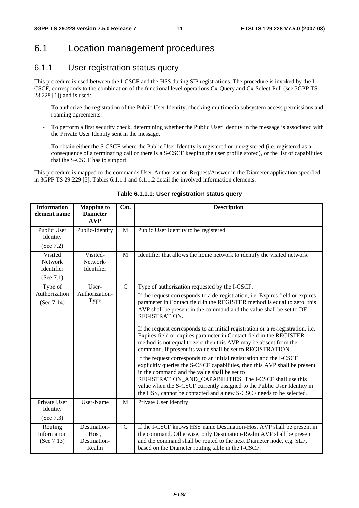## 6.1 Location management procedures

## 6.1.1 User registration status query

This procedure is used between the I-CSCF and the HSS during SIP registrations. The procedure is invoked by the I-CSCF, corresponds to the combination of the functional level operations Cx-Query and Cx-Select-Pull (see 3GPP TS 23.228 [1]) and is used:

- To authorize the registration of the Public User Identity, checking multimedia subsystem access permissions and roaming agreements.
- To perform a first security check, determining whether the Public User Identity in the message is associated with the Private User Identity sent in the message.
- To obtain either the S-CSCF where the Public User Identity is registered or unregistered (i.e. registered as a consequence of a terminating call or there is a S-CSCF keeping the user profile stored), or the list of capabilities that the S-CSCF has to support.

This procedure is mapped to the commands User-Authorization-Request/Answer in the Diameter application specified in 3GPP TS 29.229 [5]. Tables 6.1.1.1 and 6.1.1.2 detail the involved information elements.

| <b>Information</b><br>element name            | <b>Mapping to</b><br><b>Diameter</b><br><b>AVP</b> | Cat.         | <b>Description</b>                                                                                                                                                                                                                                                                                                                                                                                                                                                                                                                                                                                                                                                                                                                                                                                                                                                                                                                                                                                                       |  |
|-----------------------------------------------|----------------------------------------------------|--------------|--------------------------------------------------------------------------------------------------------------------------------------------------------------------------------------------------------------------------------------------------------------------------------------------------------------------------------------------------------------------------------------------------------------------------------------------------------------------------------------------------------------------------------------------------------------------------------------------------------------------------------------------------------------------------------------------------------------------------------------------------------------------------------------------------------------------------------------------------------------------------------------------------------------------------------------------------------------------------------------------------------------------------|--|
| Public User<br>Identity<br>(See 7.2)          | Public-Identity                                    | M            | Public User Identity to be registered                                                                                                                                                                                                                                                                                                                                                                                                                                                                                                                                                                                                                                                                                                                                                                                                                                                                                                                                                                                    |  |
| Visited<br>Network<br>Identifier<br>(See 7.1) | Visited-<br>Network-<br>Identifier                 | M            | Identifier that allows the home network to identify the visited network                                                                                                                                                                                                                                                                                                                                                                                                                                                                                                                                                                                                                                                                                                                                                                                                                                                                                                                                                  |  |
| Type of<br>Authorization<br>(See 7.14)        | User-<br>Authorization-<br>Type                    | $\mathsf{C}$ | Type of authorization requested by the I-CSCF.<br>If the request corresponds to a de-registration, i.e. Expires field or expires<br>parameter in Contact field in the REGISTER method is equal to zero, this<br>AVP shall be present in the command and the value shall be set to DE-<br>REGISTRATION.<br>If the request corresponds to an initial registration or a re-registration, i.e.<br>Expires field or expires parameter in Contact field in the REGISTER<br>method is not equal to zero then this AVP may be absent from the<br>command. If present its value shall be set to REGISTRATION.<br>If the request corresponds to an initial registration and the I-CSCF<br>explicitly queries the S-CSCF capabilities, then this AVP shall be present<br>in the command and the value shall be set to<br>REGISTRATION_AND_CAPABILITIES. The I-CSCF shall use this<br>value when the S-CSCF currently assigned to the Public User Identity in<br>the HSS, cannot be contacted and a new S-CSCF needs to be selected. |  |
| Private User<br>Identity<br>(See 7.3)         | User-Name                                          | M            | Private User Identity                                                                                                                                                                                                                                                                                                                                                                                                                                                                                                                                                                                                                                                                                                                                                                                                                                                                                                                                                                                                    |  |
| Routing<br>Information<br>(See 7.13)          | Destination-<br>Host,<br>Destination-<br>Realm     | $\mathsf{C}$ | If the I-CSCF knows HSS name Destination-Host AVP shall be present in<br>the command. Otherwise, only Destination-Realm AVP shall be present<br>and the command shall be routed to the next Diameter node, e.g. SLF,<br>based on the Diameter routing table in the I-CSCF.                                                                                                                                                                                                                                                                                                                                                                                                                                                                                                                                                                                                                                                                                                                                               |  |

**Table 6.1.1.1: User registration status query**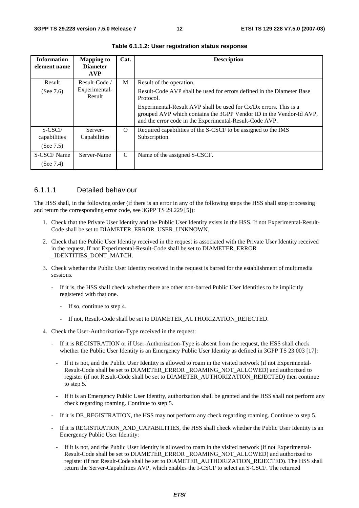| <b>Information</b><br>element name | <b>Mapping to</b><br><b>Diameter</b><br><b>AVP</b> | Cat.     | <b>Description</b>                                                                                                                                                                                    |
|------------------------------------|----------------------------------------------------|----------|-------------------------------------------------------------------------------------------------------------------------------------------------------------------------------------------------------|
| Result                             | Result-Code                                        | M        | Result of the operation.                                                                                                                                                                              |
| (See $7.6$ )                       | Experimental-<br>Result                            |          | Result-Code AVP shall be used for errors defined in the Diameter Base<br>Protocol.                                                                                                                    |
|                                    |                                                    |          | Experimental-Result AVP shall be used for $Cx/Dx$ errors. This is a<br>grouped AVP which contains the 3GPP Vendor ID in the Vendor-Id AVP,<br>and the error code in the Experimental-Result-Code AVP. |
| <b>S-CSCF</b><br>capabilities      | Server-<br>Capabilities                            | $\Omega$ | Required capabilities of the S-CSCF to be assigned to the IMS<br>Subscription.                                                                                                                        |
| (See $7.5$ )                       |                                                    |          |                                                                                                                                                                                                       |
| <b>S-CSCF Name</b>                 | Server-Name                                        | C        | Name of the assigned S-CSCF.                                                                                                                                                                          |
| (See $7.4$ )                       |                                                    |          |                                                                                                                                                                                                       |

**Table 6.1.1.2: User registration status response** 

#### 6.1.1.1 Detailed behaviour

The HSS shall, in the following order (if there is an error in any of the following steps the HSS shall stop processing and return the corresponding error code, see 3GPP TS 29.229 [5]):

- 1. Check that the Private User Identity and the Public User Identity exists in the HSS. If not Experimental-Result-Code shall be set to DIAMETER\_ERROR\_USER\_UNKNOWN.
- 2. Check that the Public User Identity received in the request is associated with the Private User Identity received in the request. If not Experimental-Result-Code shall be set to DIAMETER\_ERROR \_IDENTITIES\_DONT\_MATCH.
- 3. Check whether the Public User Identity received in the request is barred for the establishment of multimedia sessions.
	- If it is, the HSS shall check whether there are other non-barred Public User Identities to be implicitly registered with that one.
		- If so, continue to step 4.
		- If not, Result-Code shall be set to DIAMETER\_AUTHORIZATION\_REJECTED.
- 4. Check the User-Authorization-Type received in the request:
	- If it is REGISTRATION or if User-Authorization-Type is absent from the request, the HSS shall check whether the Public User Identity is an Emergency Public User Identity as defined in 3GPP TS 23.003 [17]:
		- If it is not, and the Public User Identity is allowed to roam in the visited network (if not Experimental-Result-Code shall be set to DIAMETER\_ERROR \_ROAMING\_NOT\_ALLOWED) and authorized to register (if not Result-Code shall be set to DIAMETER\_AUTHORIZATION\_REJECTED) then continue to step 5.
		- If it is an Emergency Public User Identity, authorization shall be granted and the HSS shall not perform any check regarding roaming. Continue to step 5.
	- If it is DE\_REGISTRATION, the HSS may not perform any check regarding roaming. Continue to step 5.
	- If it is REGISTRATION\_AND\_CAPABILITIES, the HSS shall check whether the Public User Identity is an Emergency Public User Identity:
		- If it is not, and the Public User Identity is allowed to roam in the visited network (if not Experimental-Result-Code shall be set to DIAMETER\_ERROR \_ROAMING\_NOT\_ALLOWED) and authorized to register (if not Result-Code shall be set to DIAMETER\_AUTHORIZATION\_REJECTED). The HSS shall return the Server-Capabilities AVP, which enables the I-CSCF to select an S-CSCF. The returned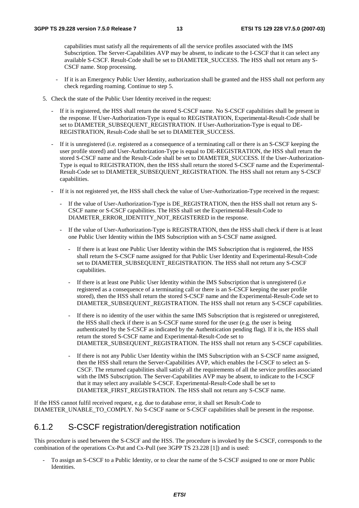capabilities must satisfy all the requirements of all the service profiles associated with the IMS Subscription. The Server-Capabilities AVP may be absent, to indicate to the I-CSCF that it can select any available S-CSCF. Result-Code shall be set to DIAMETER\_SUCCESS. The HSS shall not return any S-CSCF name. Stop processing.

- If it is an Emergency Public User Identity, authorization shall be granted and the HSS shall not perform any check regarding roaming. Continue to step 5.
- 5. Check the state of the Public User Identity received in the request:
	- If it is registered, the HSS shall return the stored S-CSCF name. No S-CSCF capabilities shall be present in the response. If User-Authorization-Type is equal to REGISTRATION, Experimental-Result-Code shall be set to DIAMETER\_SUBSEQUENT\_REGISTRATION. If User-Authorization-Type is equal to DE-REGISTRATION, Result-Code shall be set to DIAMETER\_SUCCESS.
	- If it is unregistered (i.e. registered as a consequence of a terminating call or there is an S-CSCF keeping the user profile stored) and User-Authorization-Type is equal to DE-REGISTRATION, the HSS shall return the stored S-CSCF name and the Result-Code shall be set to DIAMETER\_SUCCESS. If the User-Authorization-Type is equal to REGISTRATION, then the HSS shall return the stored S-CSCF name and the Experimental-Result-Code set to DIAMETER\_SUBSEQUENT\_REGISTRATION. The HSS shall not return any S-CSCF capabilities.
	- If it is not registered yet, the HSS shall check the value of User-Authorization-Type received in the request:
		- If the value of User-Authorization-Type is DE\_REGISTRATION, then the HSS shall not return any S-CSCF name or S-CSCF capabilities. The HSS shall set the Experimental-Result-Code to DIAMETER\_ERROR\_IDENTITY\_NOT\_REGISTERED in the response.
		- If the value of User-Authorization-Type is REGISTRATION, then the HSS shall check if there is at least one Public User Identity within the IMS Subscription with an S-CSCF name assigned.
			- If there is at least one Public User Identity within the IMS Subscription that is registered, the HSS shall return the S-CSCF name assigned for that Public User Identity and Experimental-Result-Code set to DIAMETER\_SUBSEQUENT\_REGISTRATION. The HSS shall not return any S-CSCF capabilities.
			- If there is at least one Public User Identity within the IMS Subscription that is unregistered (i.e. registered as a consequence of a terminating call or there is an S-CSCF keeping the user profile stored), then the HSS shall return the stored S-CSCF name and the Experimental-Result-Code set to DIAMETER\_SUBSEQUENT\_REGISTRATION. The HSS shall not return any S-CSCF capabilities.
			- If there is no identity of the user within the same IMS Subscription that is registered or unregistered, the HSS shall check if there is an S-CSCF name stored for the user (e.g. the user is being authenticated by the S-CSCF as indicated by the Authentication pending flag). If it is, the HSS shall return the stored S-CSCF name and Experimental-Result-Code set to DIAMETER\_SUBSEQUENT\_REGISTRATION. The HSS shall not return any S-CSCF capabilities.
			- If there is not any Public User Identity within the IMS Subscription with an S-CSCF name assigned, then the HSS shall return the Server-Capabilities AVP, which enables the I-CSCF to select an S-CSCF. The returned capabilities shall satisfy all the requirements of all the service profiles associated with the IMS Subscription. The Server-Capabilities AVP may be absent, to indicate to the I-CSCF that it may select any available S-CSCF. Experimental-Result-Code shall be set to DIAMETER\_FIRST\_REGISTRATION. The HSS shall not return any S-CSCF name.

If the HSS cannot fulfil received request, e.g. due to database error, it shall set Result-Code to DIAMETER\_UNABLE\_TO\_COMPLY. No S-CSCF name or S-CSCF capabilities shall be present in the response.

#### 6.1.2 S-CSCF registration/deregistration notification

This procedure is used between the S-CSCF and the HSS. The procedure is invoked by the S-CSCF, corresponds to the combination of the operations Cx-Put and Cx-Pull (see 3GPP TS 23.228 [1]) and is used:

- To assign an S-CSCF to a Public Identity, or to clear the name of the S-CSCF assigned to one or more Public Identities.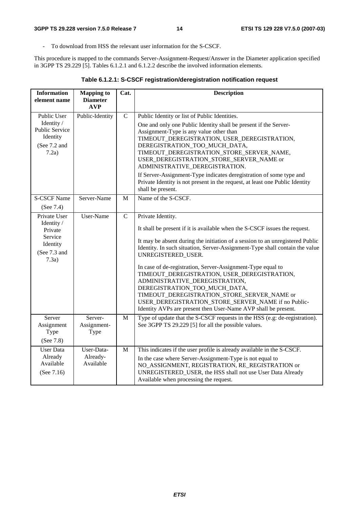- To download from HSS the relevant user information for the S-CSCF.

This procedure is mapped to the commands Server-Assignment-Request/Answer in the Diameter application specified in 3GPP TS 29.229 [5]. Tables 6.1.2.1 and 6.1.2.2 describe the involved information elements.

| <b>Information</b><br>element name                                                    | <b>Mapping to</b><br><b>Diameter</b> | Cat.         | <b>Description</b>                                                                                                                                                                                                                                                                                                                                                                                                                                                                                                                                                                                                                              |  |
|---------------------------------------------------------------------------------------|--------------------------------------|--------------|-------------------------------------------------------------------------------------------------------------------------------------------------------------------------------------------------------------------------------------------------------------------------------------------------------------------------------------------------------------------------------------------------------------------------------------------------------------------------------------------------------------------------------------------------------------------------------------------------------------------------------------------------|--|
|                                                                                       | <b>AVP</b>                           |              |                                                                                                                                                                                                                                                                                                                                                                                                                                                                                                                                                                                                                                                 |  |
| Public User<br>Identity /<br>Public Service<br>Identity<br>(See 7.2 and<br>7.2a)      | Public-Identity                      | $\mathbf C$  | Public Identity or list of Public Identities.<br>One and only one Public Identity shall be present if the Server-<br>Assignment-Type is any value other than<br>TIMEOUT_DEREGISTRATION, USER_DEREGISTRATION,<br>DEREGISTRATION_TOO_MUCH_DATA,<br>TIMEOUT_DEREGISTRATION_STORE_SERVER_NAME,<br>USER_DEREGISTRATION_STORE_SERVER_NAME or<br>ADMINISTRATIVE_DEREGISTRATION.<br>If Server-Assignment-Type indicates deregistration of some type and<br>Private Identity is not present in the request, at least one Public Identity                                                                                                                 |  |
|                                                                                       |                                      |              | shall be present.                                                                                                                                                                                                                                                                                                                                                                                                                                                                                                                                                                                                                               |  |
| <b>S-CSCF Name</b><br>(See 7.4)                                                       | Server-Name                          | $\mathbf{M}$ | Name of the S-CSCF.                                                                                                                                                                                                                                                                                                                                                                                                                                                                                                                                                                                                                             |  |
| Private User<br>Identity /<br>Private<br>Service<br>Identity<br>(See 7.3 and<br>7.3a) | User-Name                            | $\mathbf C$  | Private Identity.<br>It shall be present if it is available when the S-CSCF issues the request.<br>It may be absent during the initiation of a session to an unregistered Public<br>Identity. In such situation, Server-Assignment-Type shall contain the value<br>UNREGISTERED_USER.<br>In case of de-registration, Server-Assignment-Type equal to<br>TIMEOUT_DEREGISTRATION, USER_DEREGISTRATION,<br>ADMINISTRATIVE_DEREGISTRATION,<br>DEREGISTRATION_TOO_MUCH_DATA,<br>TIMEOUT_DEREGISTRATION_STORE_SERVER_NAME or<br>USER_DEREGISTRATION_STORE_SERVER_NAME if no Public-<br>Identity AVPs are present then User-Name AVP shall be present. |  |
| Server<br>Assignment<br>Type<br>(See 7.8)                                             | Server-<br>Assignment-<br>Type       | $\mathbf M$  | Type of update that the S-CSCF requests in the HSS (e.g: de-registration).<br>See 3GPP TS 29.229 [5] for all the possible values.                                                                                                                                                                                                                                                                                                                                                                                                                                                                                                               |  |
| <b>User Data</b><br>Already<br>Available<br>(See 7.16)                                | User-Data-<br>Already-<br>Available  | $\mathbf{M}$ | This indicates if the user profile is already available in the S-CSCF.<br>In the case where Server-Assignment-Type is not equal to<br>NO_ASSIGNMENT, REGISTRATION, RE_REGISTRATION or<br>UNREGISTERED_USER, the HSS shall not use User Data Already<br>Available when processing the request.                                                                                                                                                                                                                                                                                                                                                   |  |

|  | Table 6.1.2.1: S-CSCF registration/deregistration notification request |  |
|--|------------------------------------------------------------------------|--|
|--|------------------------------------------------------------------------|--|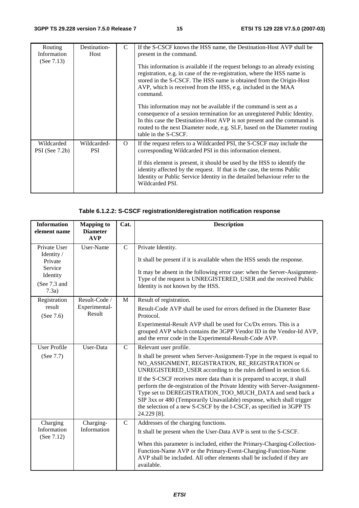| Routing<br>Information<br>(See $7.13$ ) | Destination-<br>Host      | $\mathcal{C}$ | If the S-CSCF knows the HSS name, the Destination-Host AVP shall be<br>present in the command.<br>This information is available if the request belongs to an already existing<br>registration, e.g. in case of the re-registration, where the HSS name is<br>stored in the S-CSCF. The HSS name is obtained from the Origin-Host                                                                            |
|-----------------------------------------|---------------------------|---------------|-------------------------------------------------------------------------------------------------------------------------------------------------------------------------------------------------------------------------------------------------------------------------------------------------------------------------------------------------------------------------------------------------------------|
|                                         |                           |               | AVP, which is received from the HSS, e.g. included in the MAA<br>command.<br>This information may not be available if the command is sent as a<br>consequence of a session termination for an unregistered Public Identity.<br>In this case the Destination-Host AVP is not present and the command is<br>routed to the next Diameter node, e.g. SLF, based on the Diameter routing<br>table in the S-CSCF. |
| Wildcarded<br>$PSI$ (See 7.2b)          | Wildcarded-<br><b>PSI</b> | $\Omega$      | If the request refers to a Wildcarded PSI, the S-CSCF may include the<br>corresponding Wildcarded PSI in this information element.<br>If this element is present, it should be used by the HSS to identify the<br>identity affected by the request. If that is the case, the terms Public<br>Identity or Public Service Identity in the detailed behaviour refer to the<br>Wildcarded PSI.                  |

#### **Table 6.1.2.2: S-CSCF registration/deregistration notification response**

| <b>Information</b><br>element name                                                    | <b>Mapping to</b><br><b>Diameter</b><br><b>AVP</b> | Cat.          | <b>Description</b>                                                                                                                                                                                                                                                                                                                                                                                                                                                                                                                                                                                                  |  |
|---------------------------------------------------------------------------------------|----------------------------------------------------|---------------|---------------------------------------------------------------------------------------------------------------------------------------------------------------------------------------------------------------------------------------------------------------------------------------------------------------------------------------------------------------------------------------------------------------------------------------------------------------------------------------------------------------------------------------------------------------------------------------------------------------------|--|
| Private User<br>Identity /<br>Private<br>Service<br>Identity<br>(See 7.3 and<br>7.3a) | User-Name                                          | $\mathsf{C}$  | Private Identity.<br>It shall be present if it is available when the HSS sends the response.<br>It may be absent in the following error case: when the Server-Assignment-<br>Type of the request is UNREGISTERED_USER and the received Public<br>Identity is not known by the HSS.                                                                                                                                                                                                                                                                                                                                  |  |
| Registration<br>result<br>(See 7.6)                                                   | Result-Code /<br>Experimental-<br>Result           | M             | Result of registration.<br>Result-Code AVP shall be used for errors defined in the Diameter Base<br>Protocol.<br>Experimental-Result AVP shall be used for Cx/Dx errors. This is a<br>grouped AVP which contains the 3GPP Vendor ID in the Vendor-Id AVP,<br>and the error code in the Experimental-Result-Code AVP.                                                                                                                                                                                                                                                                                                |  |
| <b>User Profile</b><br>(See 7.7)                                                      | User-Data                                          | $\mathcal{C}$ | Relevant user profile.<br>It shall be present when Server-Assignment-Type in the request is equal to<br>NO_ASSIGNMENT, REGISTRATION, RE_REGISTRATION or<br>UNREGISTERED_USER according to the rules defined in section 6.6.<br>If the S-CSCF receives more data than it is prepared to accept, it shall<br>perform the de-registration of the Private Identity with Server-Assignment-<br>Type set to DEREGISTRATION_TOO_MUCH_DATA and send back a<br>SIP 3xx or 480 (Temporarily Unavailable) response, which shall trigger<br>the selection of a new S-CSCF by the I-CSCF, as specified in 3GPP TS<br>24.229 [8]. |  |
| Charging<br>Information<br>(See 7.12)                                                 | Charging-<br>Information                           | $\mathcal{C}$ | Addresses of the charging functions.<br>It shall be present when the User-Data AVP is sent to the S-CSCF.<br>When this parameter is included, either the Primary-Charging-Collection-<br>Function-Name AVP or the Primary-Event-Charging-Function-Name<br>AVP shall be included. All other elements shall be included if they are<br>available.                                                                                                                                                                                                                                                                     |  |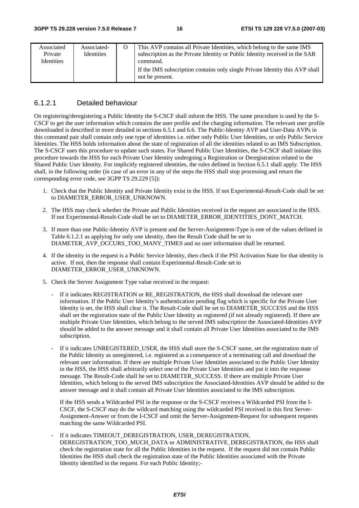| Associated<br>Private<br><b>Identities</b> | Associated-<br><b>Identities</b> | This AVP contains all Private Identities, which belong to the same IMS<br>subscription as the Private Identity or Public Identity received in the SAR<br>command. |
|--------------------------------------------|----------------------------------|-------------------------------------------------------------------------------------------------------------------------------------------------------------------|
|                                            |                                  | If the IMS subscription contains only single Private Identity this AVP shall<br>not be present.                                                                   |

#### 6.1.2.1 Detailed behaviour

On registering/deregistering a Public Identity the S-CSCF shall inform the HSS. The same procedure is used by the S-CSCF to get the user information which contains the user profile and the charging information. The relevant user profile downloaded is described in more detailed in sections 6.5.1 and 6.6. The Public-Identity AVP and User-Data AVPs in this command pair shall contain only one type of identities i.e. either only Public User Identities, or only Public Service Identities. The HSS holds information about the state of registration of all the identities related to an IMS Subscription. The S-CSCF uses this procedure to update such states. For Shared Public User Identities, the S-CSCF shall initiate this procedure towards the HSS for each Private User Identity undergoing a Registration or Deregistration related to the Shared Public User Identity. For implicitly registered identities, the rules defined in Section 6.5.1 shall apply. The HSS shall, in the following order (in case of an error in any of the steps the HSS shall stop processing and return the corresponding error code, see 3GPP TS 29.229 [5]):

- 1. Check that the Public Identity and Private Identity exist in the HSS. If not Experimental-Result-Code shall be set to DIAMETER\_ERROR\_USER\_UNKNOWN.
- 2. The HSS may check whether the Private and Public Identities received in the request are associated in the HSS. If not Experimental-Result-Code shall be set to DIAMETER\_ERROR\_IDENTITIES\_DONT\_MATCH.
- 3. If more than one Public-Identity AVP is present and the Server-Assignment-Type is one of the values defined in Table 6.1.2.1 as applying for only one identity, then the Result Code shall be set to DIAMETER\_AVP\_OCCURS\_TOO\_MANY\_TIMES and no user information shall be returned.
- 4. If the identity in the request is a Public Service Identity, then check if the PSI Activation State for that identity is active. If not, then the response shall contain Experimental-Result-Code set to DIAMETER\_ERROR\_USER\_UNKNOWN.
- 5. Check the Server Assignment Type value received in the request:
	- If it indicates REGISTRATION or RE\_REGISTRATION, the HSS shall download the relevant user information. If the Public User Identity's authentication pending flag which is specific for the Private User Identity is set, the HSS shall clear it. The Result-Code shall be set to DIAMETER\_SUCCESS and the HSS shall set the registration state of the Public User Identity as registered (if not already registered). If there are multiple Private User Identities, which belong to the served IMS subscription the Associated-Identities AVP should be added to the answer message and it shall contain all Private User Identities associated to the IMS subscription.
	- If it indicates UNREGISTERED\_USER, the HSS shall store the S-CSCF name, set the registration state of the Public Identity as unregistered, i.e. registered as a consequence of a terminating call and download the relevant user information. If there are multiple Private User Identities associated to the Public User Identity in the HSS, the HSS shall arbitrarily select one of the Private User Identities and put it into the response message. The Result-Code shall be set to DIAMETER\_SUCCESS. If there are multiple Private User Identities, which belong to the served IMS subscription the Associated-Identities AVP should be added to the answer message and it shall contain all Private User Identities associated to the IMS subscription.

If the HSS sends a Wildcarded PSI in the response or the S-CSCF receives a Wildcarded PSI from the I-CSCF, the S-CSCF may do the wildcard matching using the wildcarded PSI received in this first Server-Assignment-Answer or from the I-CSCF and omit the Server-Assignment-Request for subsequent requests matching the same Wildcarded PSI.

If it indicates TIMEOUT\_DEREGISTRATION, USER\_DEREGISTRATION, DEREGISTRATION\_TOO\_MUCH\_DATA or ADMINISTRATIVE\_DEREGISTRATION, the HSS shall check the registration state for all the Public Identities in the request. If the request did not contain Public Identities the HSS shall check the registration state of the Public Identities associated with the Private Identity identified in the request. For each Public Identity;-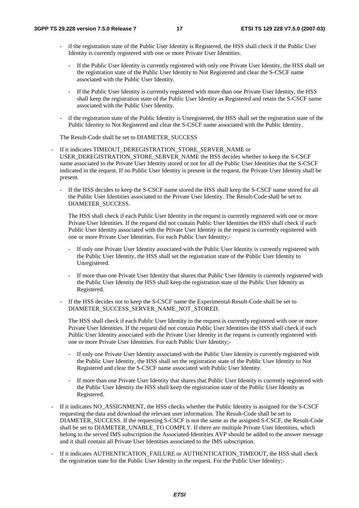- if the registration state of the Public User Identity is Registered, the HSS shall check if the Public User Identity is currently registered with one or more Private User Identities.
	- If the Public User Identity is currently registered with only one Private User Identity, the HSS shall set the registration state of the Public User Identity to Not Registered and clear the S-CSCF name associated with the Public User Identity.
	- If the Public User Identity is currently registered with more than one Private User Identity, the HSS shall keep the registration state of the Public User Identity as Registered and retain the S-CSCF name associated with the Public User Identity.
- if the registration state of the Public Identity is Unregistered, the HSS shall set the registration state of the Public Identity to Not Registered and clear the S-CSCF name associated with the Public Identity.

#### The Result-Code shall be set to DIAMETER\_SUCCESS

- If it indicates TIMEOUT\_DEREGISTRATION\_STORE\_SERVER\_NAME or USER\_DEREGISTRATION\_STORE\_SERVER\_NAME the HSS decides whether to keep the S-CSCF name associated to the Private User Identity stored or not for all the Public User Identities that the S-CSCF indicated in the request. If no Public User Identity is present in the request, the Private User Identity shall be present.
	- If the HSS decides to keep the S-CSCF name stored the HSS shall keep the S-CSCF name stored for all the Public User Identities associated to the Private User Identity. The Result-Code shall be set to DIAMETER\_SUCCESS.

The HSS shall check if each Public User Identity in the request is currently registered with one or more Private User Identities. If the request did not contain Public User Identities the HSS shall check if each Public User Identity associated with the Private User Identity in the request is currently registered with one or more Private User Identities. For each Public User Identity;-

- If only one Private User Identity associated with the Public User Identity is currently registered with the Public User Identity, the HSS shall set the registration state of the Public User Identity to Unregistered.
- If more than one Private User Identity that shares that Public User Identity is currently registered with the Public User Identity the HSS shall keep the registration state of the Public User Identity as Registered.
- If the HSS decides not to keep the S-CSCF name the Experimental-Result-Code shall be set to DIAMETER\_SUCCESS\_SERVER\_NAME\_NOT\_STORED.

The HSS shall check if each Public User Identity in the request is currently registered with one or more Private User Identities. If the request did not contain Public User Identities the HSS shall check if each Public User Identity associated with the Private User Identity in the request is currently registered with one or more Private User Identities. For each Public User Identity;-

- If only one Private User Identity associated with the Public User Identity is currently registered with the Public User Identity, the HSS shall set the registration state of the Public User Identity to Not Registered and clear the S-CSCF name associated with Public User Identity.
- If more than one Private User Identity that shares that Public User Identity is currently registered with the Public User Identity the HSS shall keep the registration state of the Public User Identity as Registered.
- If it indicates NO\_ASSIGNMENT, the HSS checks whether the Public Identity is assigned for the S-CSCF requesting the data and download the relevant user information. The Result-Code shall be set to DIAMETER\_SUCCESS. If the requesting S-CSCF is not the same as the assigned S-CSCF, the Result-Code shall be set to DIAMETER\_UNABLE\_TO COMPLY. If there are multiple Private User Identities, which belong to the served IMS subscription the Associated-Identities AVP should be added to the answer message and it shall contain all Private User Identities associated to the IMS subscription.
- If it indicates AUTHENTICATION FAILURE or AUTHENTICATION TIMEOUT, the HSS shall check the registration state for the Public User Identity in the request. For the Public User Identity;-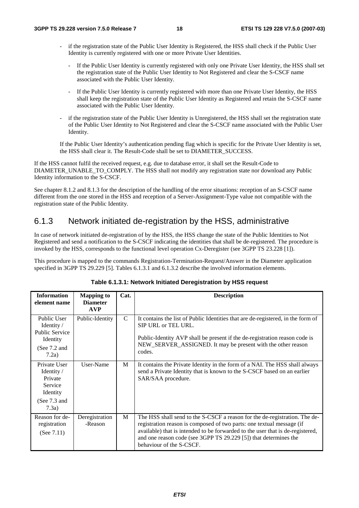- if the registration state of the Public User Identity is Registered, the HSS shall check if the Public User Identity is currently registered with one or more Private User Identities.
	- If the Public User Identity is currently registered with only one Private User Identity, the HSS shall set the registration state of the Public User Identity to Not Registered and clear the S-CSCF name associated with the Public User Identity.
	- If the Public User Identity is currently registered with more than one Private User Identity, the HSS shall keep the registration state of the Public User Identity as Registered and retain the S-CSCF name associated with the Public User Identity.
- if the registration state of the Public User Identity is Unregistered, the HSS shall set the registration state of the Public User Identity to Not Registered and clear the S-CSCF name associated with the Public User Identity.

If the Public User Identity's authentication pending flag which is specific for the Private User Identity is set, the HSS shall clear it. The Result-Code shall be set to DIAMETER\_SUCCESS.

If the HSS cannot fulfil the received request, e.g. due to database error, it shall set the Result-Code to DIAMETER\_UNABLE\_TO\_COMPLY. The HSS shall not modify any registration state nor download any Public Identity information to the S-CSCF.

See chapter 8.1.2 and 8.1.3 for the description of the handling of the error situations: reception of an S-CSCF name different from the one stored in the HSS and reception of a Server-Assignment-Type value not compatible with the registration state of the Public Identity.

#### 6.1.3 Network initiated de-registration by the HSS, administrative

In case of network initiated de-registration of by the HSS, the HSS change the state of the Public Identities to Not Registered and send a notification to the S-CSCF indicating the identities that shall be de-registered. The procedure is invoked by the HSS, corresponds to the functional level operation Cx-Deregister (see 3GPP TS 23.228 [1]).

This procedure is mapped to the commands Registration-Termination-Request/Answer in the Diameter application specified in 3GPP TS 29.229 [5]. Tables 6.1.3.1 and 6.1.3.2 describe the involved information elements.

| <b>Information</b><br>element name                                                                 | <b>Mapping to</b><br><b>Diameter</b><br><b>AVP</b> | Cat.          | <b>Description</b>                                                                                                                                                                                                                                                                                                                    |
|----------------------------------------------------------------------------------------------------|----------------------------------------------------|---------------|---------------------------------------------------------------------------------------------------------------------------------------------------------------------------------------------------------------------------------------------------------------------------------------------------------------------------------------|
| Public User<br>Identity $\sqrt{ }$<br><b>Public Service</b><br>Identity<br>(See $7.2$ and<br>7.2a) | Public-Identity                                    | $\mathcal{C}$ | It contains the list of Public Identities that are de-registered, in the form of<br>SIP URL or TEL URL.<br>Public-Identity AVP shall be present if the de-registration reason code is<br>NEW_SERVER_ASSIGNED. It may be present with the other reason<br>codes.                                                                       |
| Private User<br>Identity /<br>Private<br>Service<br>Identity<br>(See $7.3$ and<br>7.3a)            | User-Name                                          | M             | It contains the Private Identity in the form of a NAI. The HSS shall always<br>send a Private Identity that is known to the S-CSCF based on an earlier<br>SAR/SAA procedure.                                                                                                                                                          |
| Reason for de-<br>registration<br>(See $7.11$ )                                                    | Deregistration<br>-Reason                          | M             | The HSS shall send to the S-CSCF a reason for the de-registration. The de-<br>registration reason is composed of two parts: one textual message (if<br>available) that is intended to be forwarded to the user that is de-registered,<br>and one reason code (see 3GPP TS 29.229 [5]) that determines the<br>behaviour of the S-CSCF. |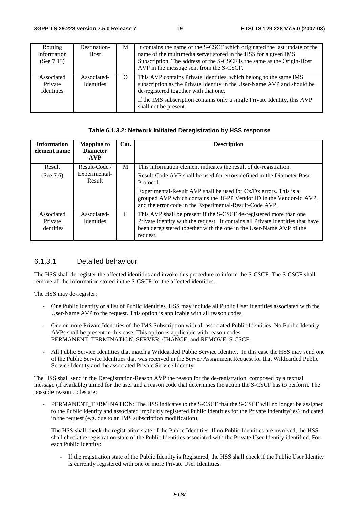| Routing<br>Information<br>(See $7.13$ )    | Destination-<br>Host             | M        | It contains the name of the S-CSCF which originated the last update of the<br>name of the multimedia server stored in the HSS for a given IMS<br>Subscription. The address of the S-CSCF is the same as the Origin-Host<br>AVP in the message sent from the S-CSCF.                          |
|--------------------------------------------|----------------------------------|----------|----------------------------------------------------------------------------------------------------------------------------------------------------------------------------------------------------------------------------------------------------------------------------------------------|
| Associated<br>Private<br><b>Identities</b> | Associated-<br><b>Identities</b> | $\Omega$ | This AVP contains Private Identities, which belong to the same IMS<br>subscription as the Private Identity in the User-Name AVP and should be<br>de-registered together with that one.<br>If the IMS subscription contains only a single Private Identity, this AVP<br>shall not be present. |

#### **Table 6.1.3.2: Network Initiated Deregistration by HSS response**

| <b>Information</b><br>element name         | <b>Mapping to</b><br><b>Diameter</b><br><b>AVP</b> | Cat.          | <b>Description</b>                                                                                                                                                                                                                                                                                                                                             |
|--------------------------------------------|----------------------------------------------------|---------------|----------------------------------------------------------------------------------------------------------------------------------------------------------------------------------------------------------------------------------------------------------------------------------------------------------------------------------------------------------------|
| Result<br>(See $7.6$ )                     | Result-Code<br>Experimental-<br>Result             | M             | This information element indicates the result of de-registration.<br>Result-Code AVP shall be used for errors defined in the Diameter Base<br>Protocol.<br>Experimental-Result AVP shall be used for Cx/Dx errors. This is a<br>grouped AVP which contains the 3GPP Vendor ID in the Vendor-Id AVP,<br>and the error code in the Experimental-Result-Code AVP. |
| Associated<br>Private<br><b>Identities</b> | Associated-<br><b>Identities</b>                   | $\mathcal{C}$ | This AVP shall be present if the S-CSCF de-registered more than one<br>Private Identity with the request. It contains all Private Identities that have<br>been deregistered together with the one in the User-Name AVP of the<br>request.                                                                                                                      |

#### 6.1.3.1 Detailed behaviour

The HSS shall de-register the affected identities and invoke this procedure to inform the S-CSCF. The S-CSCF shall remove all the information stored in the S-CSCF for the affected identities.

The HSS may de-register:

- One Public Identity or a list of Public Identities. HSS may include all Public User Identities associated with the User-Name AVP to the request. This option is applicable with all reason codes.
- One or more Private Identities of the IMS Subscription with all associated Public Identities. No Public-Identity AVPs shall be present in this case. This option is applicable with reason codes PERMANENT\_TERMINATION, SERVER\_CHANGE, and REMOVE\_S-CSCF.
- All Public Service Identities that match a Wildcarded Public Service Identity. In this case the HSS may send one of the Public Service Identities that was received in the Server Assignment Request for that Wildcarded Public Service Identity and the associated Private Service Identity.

The HSS shall send in the Deregistration-Reason AVP the reason for the de-registration, composed by a textual message (if available) aimed for the user and a reason code that determines the action the S-CSCF has to perform. The possible reason codes are:

PERMANENT\_TERMINATION: The HSS indicates to the S-CSCF that the S-CSCF will no longer be assigned to the Public Identity and associated implicitly registered Public Identities for the Private Indentity(ies) indicated in the request (e.g. due to an IMS subscription modification).

The HSS shall check the registration state of the Public Identities. If no Public Identities are involved, the HSS shall check the registration state of the Public Identities associated with the Private User Identity identified. For each Public Identity:

- If the registration state of the Public Identity is Registered, the HSS shall check if the Public User Identity is currently registered with one or more Private User Identities.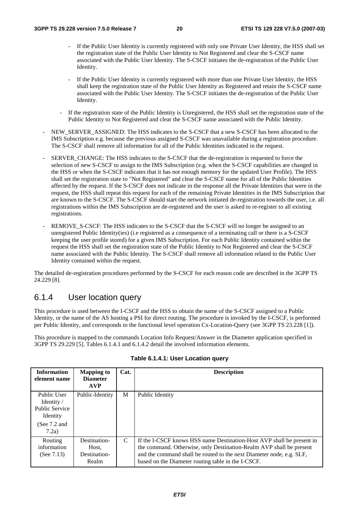- If the Public User Identity is currently registered with only one Private User Identity, the HSS shall set the registration state of the Public User Identity to Not Registered and clear the S-CSCF name associated with the Public User Identity. The S-CSCF initiates the de-registration of the Public User Identity.
- If the Public User Identity is currently registered with more than one Private User Identity, the HSS shall keep the registration state of the Public User Identity as Registered and retain the S-CSCF name associated with the Public User Identity. The S-CSCF initiates the de-registration of the Public User Identity.
- If the registration state of the Public Identity is Unregistered, the HSS shall set the registration state of the Public Identity to Not Registered and clear the S-CSCF name associated with the Public Identity.
- NEW\_SERVER\_ASSIGNED: The HSS indicates to the S-CSCF that a new S-CSCF has been allocated to the IMS Subscription e.g. because the previous assigned S-CSCF was unavailable during a registration procedure. The S-CSCF shall remove all information for all of the Public Identities indicated in the request.
- SERVER\_CHANGE: The HSS indicates to the S-CSCF that the de-registration is requested to force the selection of new S-CSCF to assign to the IMS Subscription (e.g. when the S-CSCF capabilities are changed in the HSS or when the S-CSCF indicates that it has not enough memory for the updated User Profile). The HSS shall set the registration state to "Not Registered" and clear the S-CSCF name for all of the Public Identities affected by the request. If the S-CSCF does not indicate in the response all the Private Identities that were in the request, the HSS shall repeat this request for each of the remaining Private Identities in the IMS Subscription that are known to the S-CSCF. The S-CSCF should start the network initiated de-registration towards the user, i.e. all registrations within the IMS Subscription are de-registered and the user is asked to re-register to all existing registrations.
- REMOVE\_S-CSCF: The HSS indicates to the S-CSCF that the S-CSCF will no longer be assigned to an unregistered Public Identity(ies) (i.e registered as a consequence of a terminating call or there is a S-CSCF keeping the user profile stored) for a given IMS Subscription. For each Public Identity contained within the request the HSS shall set the registration state of the Public Identity to Not Registered and clear the S-CSCF name associated with the Public Identity. The S-CSCF shall remove all information related to the Public User Identity contained within the request.

The detailed de-registration procedures performed by the S-CSCF for each reason code are described in the 3GPP TS 24.229 [8].

#### 6.1.4 User location query

This procedure is used between the I-CSCF and the HSS to obtain the name of the S-CSCF assigned to a Public Identity, or the name of the AS hosting a PSI for direct routing. The procedure is invoked by the I-CSCF, is performed per Public Identity, and corresponds to the functional level operation Cx-Location-Query (see 3GPP TS 23.228 [1]).

This procedure is mapped to the commands Location Info Request/Answer in the Diameter application specified in 3GPP TS 29.229 [5]. Tables 6.1.4.1 and 6.1.4.2 detail the involved information elements.

| <b>Information</b><br>element name                             | <b>Mapping to</b><br><b>Diameter</b><br><b>AVP</b> | Cat. | <b>Description</b>                                                                                                                                                                                                                                                         |
|----------------------------------------------------------------|----------------------------------------------------|------|----------------------------------------------------------------------------------------------------------------------------------------------------------------------------------------------------------------------------------------------------------------------------|
| Public User<br>Identity /<br><b>Public Service</b><br>Identity | Public-Identity                                    | M    | Public Identity                                                                                                                                                                                                                                                            |
| (See $7.2$ and<br>7.2a)                                        |                                                    |      |                                                                                                                                                                                                                                                                            |
| Routing<br>information<br>(See $7.13$ )                        | Destination-<br>Host,<br>Destination-<br>Realm     | C    | If the I-CSCF knows HSS name Destination-Host AVP shall be present in<br>the command. Otherwise, only Destination-Realm AVP shall be present<br>and the command shall be routed to the next Diameter node, e.g. SLF,<br>based on the Diameter routing table in the I-CSCF. |

#### **Table 6.1.4.1: User Location query**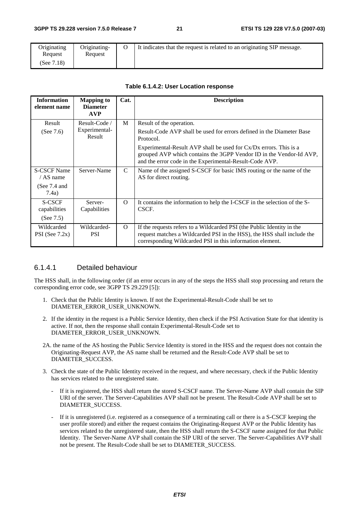| Originating | Originating- | It indicates that the request is related to an originating SIP message. |
|-------------|--------------|-------------------------------------------------------------------------|
| Request     | Request      |                                                                         |
| (See 7.18)  |              |                                                                         |

#### **Table 6.1.4.2: User Location response**

| <b>Information</b><br>element name | <b>Mapping to</b><br><b>Diameter</b><br><b>AVP</b> | Cat.          | <b>Description</b>                                                                                                                                                                                             |
|------------------------------------|----------------------------------------------------|---------------|----------------------------------------------------------------------------------------------------------------------------------------------------------------------------------------------------------------|
| Result                             | Result-Code /<br>Experimental-                     | M             | Result of the operation.                                                                                                                                                                                       |
| (See $7.6$ )                       | Result                                             |               | Result-Code AVP shall be used for errors defined in the Diameter Base<br>Protocol.                                                                                                                             |
|                                    |                                                    |               | Experimental-Result AVP shall be used for $Cx/Dx$ errors. This is a<br>grouped AVP which contains the 3GPP Vendor ID in the Vendor-Id AVP,<br>and the error code in the Experimental-Result-Code AVP.          |
| <b>S-CSCF Name</b><br>/ AS name    | Server-Name                                        | $\mathcal{C}$ | Name of the assigned S-CSCF for basic IMS routing or the name of the<br>AS for direct routing.                                                                                                                 |
| (See $7.4$ and<br>7.4a)            |                                                    |               |                                                                                                                                                                                                                |
| S-CSCF<br>capabilities             | Server-<br>Capabilities                            | $\Omega$      | It contains the information to help the I-CSCF in the selection of the S-<br>CSCF.                                                                                                                             |
| (See $7.5$ )                       |                                                    |               |                                                                                                                                                                                                                |
| Wildcarded<br>PSI (See $7.2x$ )    | Wildcarded-<br><b>PSI</b>                          | $\Omega$      | If the requests refers to a Wildcarded PSI (the Public Identity in the<br>request matches a Wildcarded PSI in the HSS), the HSS shall include the<br>corresponding Wildcarded PSI in this information element. |

#### 6.1.4.1 Detailed behaviour

The HSS shall, in the following order (if an error occurs in any of the steps the HSS shall stop processing and return the corresponding error code, see 3GPP TS 29.229 [5]):

- 1. Check that the Public Identity is known. If not the Experimental-Result-Code shall be set to DIAMETER\_ERROR\_USER\_UNKNOWN.
- 2. If the identity in the request is a Public Service Identity, then check if the PSI Activation State for that identity is active. If not, then the response shall contain Experimental-Result-Code set to DIAMETER\_ERROR\_USER\_UNKNOWN.
- 2A. the name of the AS hosting the Public Service Identity is stored in the HSS and the request does not contain the Originating-Request AVP, the AS name shall be returned and the Result-Code AVP shall be set to DIAMETER\_SUCCESS.
- 3. Check the state of the Public Identity received in the request, and where necessary, check if the Public Identity has services related to the unregistered state.
	- If it is registered, the HSS shall return the stored S-CSCF name. The Server-Name AVP shall contain the SIP URI of the server. The Server-Capabilities AVP shall not be present. The Result-Code AVP shall be set to DIAMETER\_SUCCESS.
	- If it is unregistered (i.e. registered as a consequence of a terminating call or there is a S-CSCF keeping the user profile stored) and either the request contains the Originating-Request AVP or the Public Identity has services related to the unregistered state, then the HSS shall return the S-CSCF name assigned for that Public Identity. The Server-Name AVP shall contain the SIP URI of the server. The Server-Capabilities AVP shall not be present. The Result-Code shall be set to DIAMETER\_SUCCESS.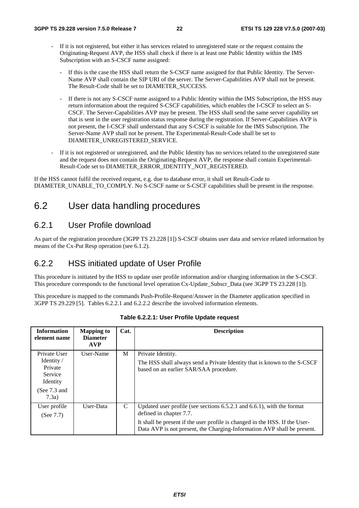- If it is not registered, but either it has services related to unregistered state or the request contains the Originating-Request AVP, the HSS shall check if there is at least one Public Identity within the IMS Subscription with an S-CSCF name assigned:
	- If this is the case the HSS shall return the S-CSCF name assigned for that Public Identity. The Server-Name AVP shall contain the SIP URI of the server. The Server-Capabilities AVP shall not be present. The Result-Code shall be set to DIAMETER\_SUCCESS.
	- If there is not any S-CSCF name assigned to a Public Identity within the IMS Subscription, the HSS may return information about the required S-CSCF capabilities, which enables the I-CSCF to select an S-CSCF. The Server-Capabilities AVP may be present. The HSS shall send the same server capability set that is sent in the user registration status response during the registration. If Server-Capabilities AVP is not present, the I-CSCF shall understand that any S-CSCF is suitable for the IMS Subscription. The Server-Name AVP shall not be present. The Experimental-Result-Code shall be set to DIAMETER\_UNREGISTERED\_SERVICE.
- If it is not registered or unregistered, and the Public Identity has no services related to the unregistered state and the request does not contain the Originating-Request AVP, the response shall contain Experimental-Result-Code set to DIAMETER\_ERROR\_IDENTITY\_NOT\_REGISTERED.

If the HSS cannot fulfil the received request, e.g. due to database error, it shall set Result-Code to DIAMETER\_UNABLE\_TO\_COMPLY. No S-CSCF name or S-CSCF capabilities shall be present in the response.

## 6.2 User data handling procedures

#### 6.2.1 User Profile download

As part of the registration procedure (3GPP TS 23.228 [1]) S-CSCF obtains user data and service related information by means of the Cx-Put Resp operation (see 6.1.2).

### 6.2.2 HSS initiated update of User Profile

This procedure is initiated by the HSS to update user profile information and/or charging information in the S-CSCF. This procedure corresponds to the functional level operation Cx-Update\_Subscr\_Data (see 3GPP TS 23.228 [1]).

This procedure is mapped to the commands Push-Profile-Request/Answer in the Diameter application specified in 3GPP TS 29.229 [5]. Tables 6.2.2.1 and 6.2.2.2 describe the involved information elements.

| <b>Information</b><br>element name                                                      | <b>Mapping to</b><br><b>Diameter</b><br><b>AVP</b> | Cat. | <b>Description</b>                                                                                                                                                                                                                                               |
|-----------------------------------------------------------------------------------------|----------------------------------------------------|------|------------------------------------------------------------------------------------------------------------------------------------------------------------------------------------------------------------------------------------------------------------------|
| Private User<br>Identity /<br>Private<br>Service<br>Identity<br>(See $7.3$ and<br>7.3a) | User-Name                                          | M    | Private Identity.<br>The HSS shall always send a Private Identity that is known to the S-CSCF<br>based on an earlier SAR/SAA procedure.                                                                                                                          |
| User profile<br>(See $7.7$ )                                                            | User-Data                                          | C    | Updated user profile (see sections $6.5.2.1$ and $6.6.1$ ), with the format<br>defined in chapter 7.7.<br>It shall be present if the user profile is changed in the HSS. If the User-<br>Data AVP is not present, the Charging-Information AVP shall be present. |

**Table 6.2.2.1: User Profile Update request**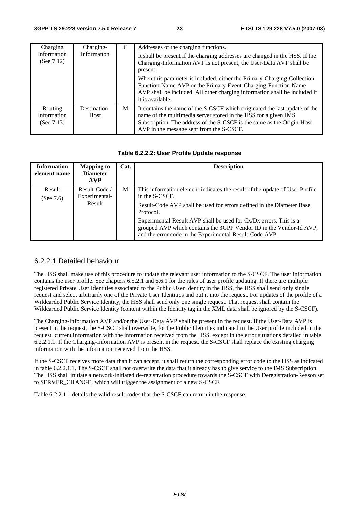| Charging                                | Charging-            | C | Addresses of the charging functions.                                                                                                                                                                                                                                |
|-----------------------------------------|----------------------|---|---------------------------------------------------------------------------------------------------------------------------------------------------------------------------------------------------------------------------------------------------------------------|
| Information<br>(See $7.12$ )            | Information          |   | It shall be present if the charging addresses are changed in the HSS. If the<br>Charging-Information AVP is not present, the User-Data AVP shall be<br>present.                                                                                                     |
|                                         |                      |   | When this parameter is included, either the Primary-Charging-Collection-<br>Function-Name AVP or the Primary-Event-Charging-Function-Name<br>AVP shall be included. All other charging information shall be included if<br>it is available.                         |
| Routing<br>Information<br>(See $7.13$ ) | Destination-<br>Host | M | It contains the name of the S-CSCF which originated the last update of the<br>name of the multimedia server stored in the HSS for a given IMS<br>Subscription. The address of the S-CSCF is the same as the Origin-Host<br>AVP in the message sent from the S-CSCF. |

#### **Table 6.2.2.2: User Profile Update response**

| <b>Information</b><br>element name | <b>Mapping to</b><br><b>Diameter</b><br><b>AVP</b> | Cat. | <b>Description</b>                                                                                                                                                                                  |
|------------------------------------|----------------------------------------------------|------|-----------------------------------------------------------------------------------------------------------------------------------------------------------------------------------------------------|
| Result<br>(See $7.6$ )             | Result-Code /<br>Experimental-                     | M    | This information element indicates the result of the update of User Profile<br>in the S-CSCF.                                                                                                       |
|                                    | Result                                             |      | Result-Code AVP shall be used for errors defined in the Diameter Base<br>Protocol.                                                                                                                  |
|                                    |                                                    |      | Experimental-Result AVP shall be used for Cx/Dx errors. This is a<br>grouped AVP which contains the 3GPP Vendor ID in the Vendor-Id AVP,<br>and the error code in the Experimental-Result-Code AVP. |

#### 6.2.2.1 Detailed behaviour

The HSS shall make use of this procedure to update the relevant user information to the S-CSCF. The user information contains the user profile. See chapters 6.5.2.1 and 6.6.1 for the rules of user profile updating. If there are multiple registered Private User Identities associated to the Public User Identity in the HSS, the HSS shall send only single request and select arbitrarily one of the Private User Identities and put it into the request. For updates of the profile of a Wildcarded Public Service Identity, the HSS shall send only one single request. That request shall contain the Wildcarded Public Service Identity (content within the Identity tag in the XML data shall be ignored by the S-CSCF).

The Charging-Information AVP and/or the User-Data AVP shall be present in the request. If the User-Data AVP is present in the request, the S-CSCF shall overwrite, for the Public Identities indicated in the User profile included in the request, current information with the information received from the HSS, except in the error situations detailed in table 6.2.2.1.1. If the Charging-Information AVP is present in the request, the S-CSCF shall replace the existing charging information with the information received from the HSS.

If the S-CSCF receives more data than it can accept, it shall return the corresponding error code to the HSS as indicated in table 6.2.2.1.1. The S-CSCF shall not overwrite the data that it already has to give service to the IMS Subscription. The HSS shall initiate a network-initiated de-registration procedure towards the S-CSCF with Deregistration-Reason set to SERVER\_CHANGE, which will trigger the assignment of a new S-CSCF.

Table 6.2.2.1.1 details the valid result codes that the S-CSCF can return in the response.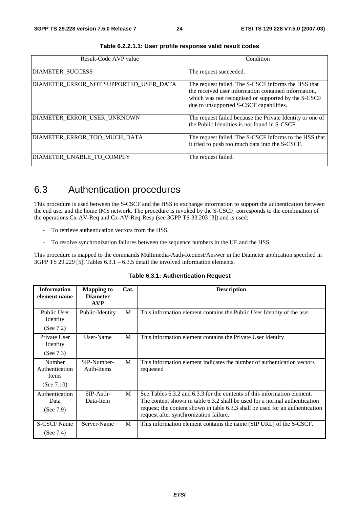| Result-Code AVP value                  | Condition                                                                                                                                                                                                     |
|----------------------------------------|---------------------------------------------------------------------------------------------------------------------------------------------------------------------------------------------------------------|
| <b>DIAMETER SUCCESS</b>                | The request succeeded.                                                                                                                                                                                        |
| DIAMETER_ERROR_NOT SUPPORTED_USER_DATA | The request failed. The S-CSCF informs the HSS that<br>the received user information contained information,<br>which was not recognised or supported by the S-CSCF<br>due to unsupported S-CSCF capabilities. |
| DIAMETER ERROR USER UNKNOWN            | The request failed because the Private Identity or one of<br>the Public Identities is not found in S-CSCF.                                                                                                    |
| DIAMETER ERROR TOO MUCH DATA           | The request failed. The S-CSCF informs to the HSS that<br>it tried to push too much data into the S-CSCF.                                                                                                     |
| DIAMETER UNABLE TO COMPLY              | The request failed.                                                                                                                                                                                           |

**Table 6.2.2.1.1: User profile response valid result codes** 

## 6.3 Authentication procedures

This procedure is used between the S-CSCF and the HSS to exchange information to support the authentication between the end user and the home IMS network. The procedure is invoked by the S-CSCF, corresponds to the combination of the operations Cx-AV-Req and Cx-AV-Req-Resp (see 3GPP TS 33.203 [3]) and is used:

- To retrieve authentication vectors from the HSS.
- To resolve synchronization failures between the sequence numbers in the UE and the HSS.

This procedure is mapped to the commands Multimedia-Auth-Request/Answer in the Diameter application specified in 3GPP TS 29.229 [5]. Tables  $6.3.1 - 6.3.5$  detail the involved information elements.

| <b>Information</b><br>element name                        | <b>Mapping to</b><br><b>Diameter</b><br><b>AVP</b> | Cat. | <b>Description</b>                                                                                                                                                                                                                                                                |
|-----------------------------------------------------------|----------------------------------------------------|------|-----------------------------------------------------------------------------------------------------------------------------------------------------------------------------------------------------------------------------------------------------------------------------------|
| Public User<br>Identity<br>(See $7.2$ )                   | Public-Identity                                    | M    | This information element contains the Public User Identity of the user                                                                                                                                                                                                            |
| Private User<br>Identity<br>(See $7.3$ )                  | User-Name                                          | M    | This information element contains the Private User Identity                                                                                                                                                                                                                       |
| Number<br>Authentication<br><b>Items</b><br>(See $7.10$ ) | SIP-Number-<br>Auth-Items                          | M    | This information element indicates the number of authentication vectors<br>requested                                                                                                                                                                                              |
| Authentication<br>Data<br>(See $7.9$ )                    | $SIP-Auth-$<br>Data-Item                           | M    | See Tables 6.3.2 and 6.3.3 for the contents of this information element.<br>The content shown in table 6.3.2 shall be used for a normal authentication<br>request; the content shown in table 6.3.3 shall be used for an authentication<br>request after synchronization failure. |
| <b>S-CSCF Name</b><br>(See $7.4$ )                        | Server-Name                                        | M    | This information element contains the name (SIP URL) of the S-CSCF.                                                                                                                                                                                                               |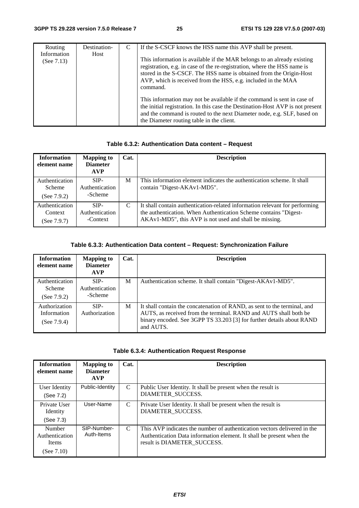| Routing                      | Destination- | If the S-CSCF knows the HSS name this AVP shall be present.                                                                                                                                                                                                                                             |  |
|------------------------------|--------------|---------------------------------------------------------------------------------------------------------------------------------------------------------------------------------------------------------------------------------------------------------------------------------------------------------|--|
| Information<br>(See $7.13$ ) | Host         | This information is available if the MAR belongs to an already existing<br>registration, e.g. in case of the re-registration, where the HSS name is<br>stored in the S-CSCF. The HSS name is obtained from the Origin-Host<br>AVP, which is received from the HSS, e.g. included in the MAA<br>command. |  |
|                              |              | This information may not be available if the command is sent in case of<br>the initial registration. In this case the Destination-Host AVP is not present<br>and the command is routed to the next Diameter node, e.g. SLF, based on<br>the Diameter routing table in the client.                       |  |

#### **Table 6.3.2: Authentication Data content – Request**

| <b>Information</b><br>element name          | <b>Mapping to</b><br><b>Diameter</b><br><b>AVP</b> | Cat. | <b>Description</b>                                                                                                                                                                                        |
|---------------------------------------------|----------------------------------------------------|------|-----------------------------------------------------------------------------------------------------------------------------------------------------------------------------------------------------------|
| Authentication<br>Scheme<br>(See $7.9.2$ )  | SIP-<br>Authentication<br>-Scheme                  | M    | This information element indicates the authentication scheme. It shall<br>contain "Digest-AKAv1-MD5".                                                                                                     |
| Authentication<br>Context<br>(See $7.9.7$ ) | SIP-<br>Authentication<br>-Context                 | C    | It shall contain authentication-related information relevant for performing<br>the authentication. When Authentication Scheme contains "Digest-<br>AKAv1-MD5", this AVP is not used and shall be missing. |

#### **Table 6.3.3: Authentication Data content – Request: Synchronization Failure**

| <b>Information</b><br>element name                | <b>Mapping to</b><br><b>Diameter</b><br><b>AVP</b> | Cat. | <b>Description</b>                                                                                                                                                                                                                 |
|---------------------------------------------------|----------------------------------------------------|------|------------------------------------------------------------------------------------------------------------------------------------------------------------------------------------------------------------------------------------|
| Authentication<br><b>Scheme</b><br>(See $7.9.2$ ) | SIP-<br>Authentication<br>-Scheme                  | M    | Authentication scheme. It shall contain "Digest-AKAv1-MD5".                                                                                                                                                                        |
| Authorization<br>Information<br>(See $7.9.4$ )    | SIP-<br>Authorization                              | M    | It shall contain the concatenation of RAND, as sent to the terminal, and<br>AUTS, as received from the terminal. RAND and AUTS shall both be<br>binary encoded. See 3GPP TS 33.203 [3] for further details about RAND<br>and AUTS. |

|  | <b>Table 6.3.4: Authentication Request Response</b> |  |
|--|-----------------------------------------------------|--|
|  |                                                     |  |

| <b>Mapping to</b><br><b>Diameter</b><br><b>AVP</b> | Cat.          | <b>Description</b>                                                                                                                                                               |
|----------------------------------------------------|---------------|----------------------------------------------------------------------------------------------------------------------------------------------------------------------------------|
| Public-Identity                                    | C             | Public User Identity. It shall be present when the result is<br>DIAMETER_SUCCESS.                                                                                                |
| User-Name                                          | C             | Private User Identity. It shall be present when the result is<br>DIAMETER SUCCESS.                                                                                               |
| SIP-Number-<br>Auth-Items                          | $\mathcal{C}$ | This AVP indicates the number of authentication vectors delivered in the<br>Authentication Data information element. It shall be present when the<br>result is DIAMETER SUCCESS. |
|                                                    |               |                                                                                                                                                                                  |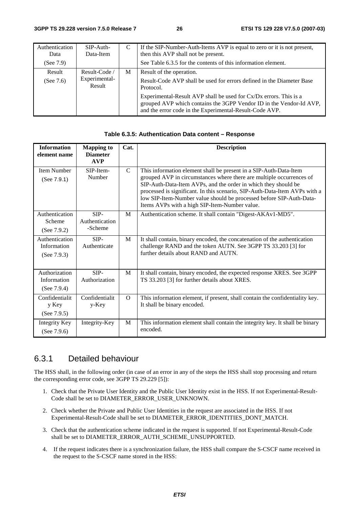| Authentication<br>Data | $SIP-Auth-$<br>Data-Item | C | If the SIP-Number-Auth-Items AVP is equal to zero or it is not present,<br>then this AVP shall not be present.                                                                                      |
|------------------------|--------------------------|---|-----------------------------------------------------------------------------------------------------------------------------------------------------------------------------------------------------|
| (See $7.9$ )           |                          |   | See Table 6.3.5 for the contents of this information element.                                                                                                                                       |
| Result                 | Result-Code /            | M | Result of the operation.                                                                                                                                                                            |
| (See $7.6$ )           | Experimental-<br>Result  |   | Result-Code AVP shall be used for errors defined in the Diameter Base<br>Protocol.                                                                                                                  |
|                        |                          |   | Experimental-Result AVP shall be used for Cx/Dx errors. This is a<br>grouped AVP which contains the 3GPP Vendor ID in the Vendor-Id AVP,<br>and the error code in the Experimental-Result-Code AVP. |

#### **Table 6.3.5: Authentication Data content – Response**

| <b>Information</b><br>element name              | <b>Mapping to</b><br><b>Diameter</b><br>AVP | Cat.          | <b>Description</b>                                                                                                                                                                                                                                                                                                                                                                                                |
|-------------------------------------------------|---------------------------------------------|---------------|-------------------------------------------------------------------------------------------------------------------------------------------------------------------------------------------------------------------------------------------------------------------------------------------------------------------------------------------------------------------------------------------------------------------|
| Item Number<br>(See 7.9.1)                      | SIP-Item-<br>Number                         | $\mathcal{C}$ | This information element shall be present in a SIP-Auth-Data-Item<br>grouped AVP in circumstances where there are multiple occurrences of<br>SIP-Auth-Data-Item AVPs, and the order in which they should be<br>processed is significant. In this scenario, SIP-Auth-Data-Item AVPs with a<br>low SIP-Item-Number value should be processed before SIP-Auth-Data-<br>Items AVPs with a high SIP-Item-Number value. |
| Authentication<br>Scheme<br>(See $7.9.2$ )      | SIP-<br>Authentication<br>-Scheme           | M             | Authentication scheme. It shall contain "Digest-AKAv1-MD5".                                                                                                                                                                                                                                                                                                                                                       |
| Authentication<br>Information<br>(See $7.9.3$ ) | SIP-<br>Authenticate                        | M             | It shall contain, binary encoded, the concatenation of the authentication<br>challenge RAND and the token AUTN. See 3GPP TS 33.203 [3] for<br>further details about RAND and AUTN.                                                                                                                                                                                                                                |
| Authorization<br>Information<br>(See $7.9.4$ )  | SIP-<br>Authorization                       | M             | It shall contain, binary encoded, the expected response XRES. See 3GPP<br>TS 33.203 [3] for further details about XRES.                                                                                                                                                                                                                                                                                           |
| Confidentialit<br>y Key<br>(See $7.9.5$ )       | Confidentialit<br>$y$ -Key                  | $\Omega$      | This information element, if present, shall contain the confidentiality key.<br>It shall be binary encoded.                                                                                                                                                                                                                                                                                                       |
| Integrity Key<br>(See $7.9.6$ )                 | Integrity-Key                               | M             | This information element shall contain the integrity key. It shall be binary<br>encoded.                                                                                                                                                                                                                                                                                                                          |

#### 6.3.1 Detailed behaviour

The HSS shall, in the following order (in case of an error in any of the steps the HSS shall stop processing and return the corresponding error code, see 3GPP TS 29.229 [5]):

- 1. Check that the Private User Identity and the Public User Identity exist in the HSS. If not Experimental-Result-Code shall be set to DIAMETER\_ERROR\_USER\_UNKNOWN.
- 2. Check whether the Private and Public User Identities in the request are associated in the HSS. If not Experimental-Result-Code shall be set to DIAMETER\_ERROR\_IDENTITIES\_DONT\_MATCH.
- 3. Check that the authentication scheme indicated in the request is supported. If not Experimental-Result-Code shall be set to DIAMETER\_ERROR\_AUTH\_SCHEME\_UNSUPPORTED.
- 4. If the request indicates there is a synchronization failure, the HSS shall compare the S-CSCF name received in the request to the S-CSCF name stored in the HSS: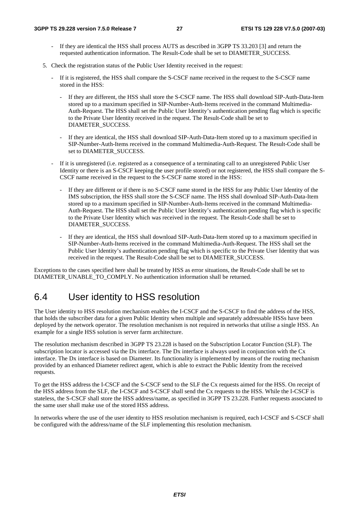- If they are identical the HSS shall process AUTS as described in 3GPP TS 33.203 [3] and return the requested authentication information. The Result-Code shall be set to DIAMETER\_SUCCESS.
- 5. Check the registration status of the Public User Identity received in the request:
	- If it is registered, the HSS shall compare the S-CSCF name received in the request to the S-CSCF name stored in the HSS:
		- If they are different, the HSS shall store the S-CSCF name. The HSS shall download SIP-Auth-Data-Item stored up to a maximum specified in SIP-Number-Auth-Items received in the command Multimedia-Auth-Request. The HSS shall set the Public User Identity's authentication pending flag which is specific to the Private User Identity received in the request. The Result-Code shall be set to DIAMETER\_SUCCESS.
		- If they are identical, the HSS shall download SIP-Auth-Data-Item stored up to a maximum specified in SIP-Number-Auth-Items received in the command Multimedia-Auth-Request. The Result-Code shall be set to DIAMETER\_SUCCESS.
	- If it is unregistered (i.e. registered as a consequence of a terminating call to an unregistered Public User Identity or there is an S-CSCF keeping the user profile stored) or not registered, the HSS shall compare the S-CSCF name received in the request to the S-CSCF name stored in the HSS:
		- If they are different or if there is no S-CSCF name stored in the HSS for any Public User Identity of the IMS subscription, the HSS shall store the S-CSCF name. The HSS shall download SIP-Auth-Data-Item stored up to a maximum specified in SIP-Number-Auth-Items received in the command Multimedia-Auth-Request. The HSS shall set the Public User Identity's authentication pending flag which is specific to the Private User Identity which was received in the request. The Result-Code shall be set to DIAMETER\_SUCCESS.
		- If they are identical, the HSS shall download SIP-Auth-Data-Item stored up to a maximum specified in SIP-Number-Auth-Items received in the command Multimedia-Auth-Request. The HSS shall set the Public User Identity's authentication pending flag which is specific to the Private User Identity that was received in the request. The Result-Code shall be set to DIAMETER\_SUCCESS.

Exceptions to the cases specified here shall be treated by HSS as error situations, the Result-Code shall be set to DIAMETER\_UNABLE\_TO\_COMPLY. No authentication information shall be returned.

## 6.4 User identity to HSS resolution

The User identity to HSS resolution mechanism enables the I-CSCF and the S-CSCF to find the address of the HSS, that holds the subscriber data for a given Public Identity when multiple and separately addressable HSSs have been deployed by the network operator. The resolution mechanism is not required in networks that utilise a single HSS. An example for a single HSS solution is server farm architecture.

The resolution mechanism described in 3GPP TS 23.228 is based on the Subscription Locator Function (SLF). The subscription locator is accessed via the Dx interface. The Dx interface is always used in conjunction with the Cx interface. The Dx interface is based on Diameter. Its functionality is implemented by means of the routing mechanism provided by an enhanced Diameter redirect agent, which is able to extract the Public Identity from the received requests.

To get the HSS address the I-CSCF and the S-CSCF send to the SLF the Cx requests aimed for the HSS. On receipt of the HSS address from the SLF, the I-CSCF and S-CSCF shall send the Cx requests to the HSS. While the I-CSCF is stateless, the S-CSCF shall store the HSS address/name, as specified in 3GPP TS 23.228. Further requests associated to the same user shall make use of the stored HSS address.

In networks where the use of the user identity to HSS resolution mechanism is required, each I-CSCF and S-CSCF shall be configured with the address/name of the SLF implementing this resolution mechanism.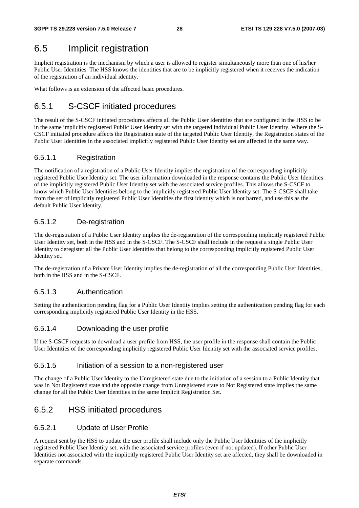## 6.5 Implicit registration

Implicit registration is the mechanism by which a user is allowed to register simultaneously more than one of his/her Public User Identities. The HSS knows the identities that are to be implicitly registered when it receives the indication of the registration of an individual identity.

What follows is an extension of the affected basic procedures.

## 6.5.1 S-CSCF initiated procedures

The result of the S-CSCF initiated procedures affects all the Public User Identities that are configured in the HSS to be in the same implicitly registered Public User Identity set with the targeted individual Public User Identity. Where the S-CSCF initiated procedure affects the Registration state of the targeted Public User Identity, the Registration states of the Public User Identities in the associated implicitly registered Public User Identity set are affected in the same way.

#### 6.5.1.1 Registration

The notification of a registration of a Public User Identity implies the registration of the corresponding implicitly registered Public User Identity set. The user information downloaded in the response contains the Public User Identities of the implicitly registered Public User Identity set with the associated service profiles. This allows the S-CSCF to know which Public User Identities belong to the implicitly registered Public User Identity set. The S-CSCF shall take from the set of implicitly registered Public User Identities the first identity which is not barred, and use this as the default Public User Identity.

#### 6.5.1.2 De-registration

The de-registration of a Public User Identity implies the de-registration of the corresponding implicitly registered Public User Identity set, both in the HSS and in the S-CSCF. The S-CSCF shall include in the request a single Public User Identity to deregister all the Public User Identities that belong to the corresponding implicitly registered Public User Identity set.

The de-registration of a Private User Identity implies the de-registration of all the corresponding Public User Identities, both in the HSS and in the S-CSCF.

#### 6.5.1.3 Authentication

Setting the authentication pending flag for a Public User Identity implies setting the authentication pending flag for each corresponding implicitly registered Public User Identity in the HSS.

#### 6.5.1.4 Downloading the user profile

If the S-CSCF requests to download a user profile from HSS, the user profile in the response shall contain the Public User Identities of the corresponding implicitly registered Public User Identity set with the associated service profiles.

#### 6.5.1.5 Initiation of a session to a non-registered user

The change of a Public User Identity to the Unregistered state due to the initiation of a session to a Public Identity that was in Not Registered state and the opposite change from Unregistered state to Not Registered state implies the same change for all the Public User Identities in the same Implicit Registration Set.

### 6.5.2 HSS initiated procedures

#### 6.5.2.1 Update of User Profile

A request sent by the HSS to update the user profile shall include only the Public User Identities of the implicitly registered Public User Identity set, with the associated service profiles (even if not updated). If other Public User Identities not associated with the implicitly registered Public User Identity set are affected, they shall be downloaded in separate commands.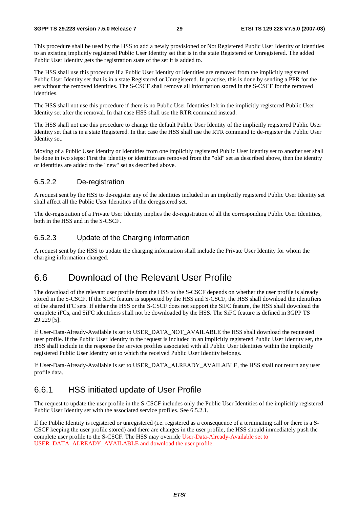This procedure shall be used by the HSS to add a newly provisioned or Not Registered Public User Identity or Identities to an existing implicitly registered Public User Identity set that is in the state Registered or Unregistered. The added Public User Identity gets the registration state of the set it is added to.

The HSS shall use this procedure if a Public User Identity or Identities are removed from the implicitly registered Public User Identity set that is in a state Registered or Unregistered. In practise, this is done by sending a PPR for the set without the removed identities. The S-CSCF shall remove all information stored in the S-CSCF for the removed identities.

The HSS shall not use this procedure if there is no Public User Identities left in the implicitly registered Public User Identity set after the removal. In that case HSS shall use the RTR command instead.

The HSS shall not use this procedure to change the default Public User Identity of the implicitly registered Public User Identity set that is in a state Registered. In that case the HSS shall use the RTR command to de-register the Public User Identity set.

Moving of a Public User Identity or Identities from one implicitly registered Public User Identity set to another set shall be done in two steps: First the identity or identities are removed from the "old" set as described above, then the identity or identities are added to the "new" set as described above.

#### 6.5.2.2 De-registration

A request sent by the HSS to de-register any of the identities included in an implicitly registered Public User Identity set shall affect all the Public User Identities of the deregistered set.

The de-registration of a Private User Identity implies the de-registration of all the corresponding Public User Identities, both in the HSS and in the S-CSCF.

#### 6.5.2.3 Update of the Charging information

A request sent by the HSS to update the charging information shall include the Private User Identity for whom the charging information changed.

## 6.6 Download of the Relevant User Profile

The download of the relevant user profile from the HSS to the S-CSCF depends on whether the user profile is already stored in the S-CSCF. If the SiFC feature is supported by the HSS and S-CSCF, the HSS shall download the identifiers of the shared iFC sets. If either the HSS or the S-CSCF does not support the SiFC feature, the HSS shall download the complete iFCs, and SiFC identifiers shall not be downloaded by the HSS. The SiFC feature is defined in 3GPP TS 29.229 [5].

If User-Data-Already-Available is set to USER\_DATA\_NOT\_AVAILABLE the HSS shall download the requested user profile. If the Public User Identity in the request is included in an implicitly registered Public User Identity set, the HSS shall include in the response the service profiles associated with all Public User Identities within the implicitly registered Public User Identity set to which the received Public User Identity belongs.

If User-Data-Already-Available is set to USER\_DATA\_ALREADY\_AVAILABLE, the HSS shall not return any user profile data.

#### 6.6.1 HSS initiated update of User Profile

The request to update the user profile in the S-CSCF includes only the Public User Identities of the implicitly registered Public User Identity set with the associated service profiles. See 6.5.2.1.

If the Public Identity is registered or unregistered (i.e. registered as a consequence of a terminating call or there is a S-CSCF keeping the user profile stored) and there are changes in the user profile, the HSS should immediately push the complete user profile to the S-CSCF. The HSS may override User-Data-Already-Available set to USER\_DATA\_ALREADY\_AVAILABLE and download the user profile.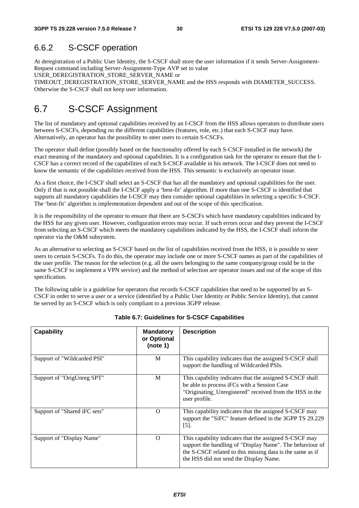## 6.6.2 S-CSCF operation

At deregistration of a Public User Identity, the S-CSCF shall store the user information if it sends Server-Assignment-Request command including Server-Assignment-Type AVP set to value

USER\_DEREGISTRATION\_STORE\_SERVER\_NAME or

TIMEOUT\_DEREGISTRATION\_STORE\_SERVER\_NAME and the HSS responds with DIAMETER\_SUCCESS. Otherwise the S-CSCF shall not keep user information.

# 6.7 S-CSCF Assignment

The list of mandatory and optional capabilities received by an I-CSCF from the HSS allows operators to distribute users between S-CSCFs, depending on the different capabilities (features, role, etc.) that each S-CSCF may have. Alternatively, an operator has the possibility to steer users to certain S-CSCFs.

The operator shall define (possibly based on the functionality offered by each S-CSCF installed in the network) the exact meaning of the mandatory and optional capabilities. It is a configuration task for the operator to ensure that the I-CSCF has a correct record of the capabilities of each S-CSCF available in his network. The I-CSCF does not need to know the semantic of the capabilities received from the HSS. This semantic is exclusively an operator issue.

As a first choice, the I-CSCF shall select an S-CSCF that has all the mandatory and optional capabilities for the user. Only if that is not possible shall the I-CSCF apply a 'best-fit' algorithm. If more than one S-CSCF is identified that supports all mandatory capabilities the I-CSCF may then consider optional capabilities in selecting a specific S-CSCF. The 'best-fit' algorithm is implementation dependent and out of the scope of this specification.

It is the responsibility of the operator to ensure that there are S-CSCFs which have mandatory capabilities indicated by the HSS for any given user. However, configuration errors may occur. If such errors occur and they prevent the I-CSCF from selecting an S-CSCF which meets the mandatory capabilities indicated by the HSS, the I-CSCF shall inform the operator via the O&M subsystem.

As an alternative to selecting an S-CSCF based on the list of capabilities received from the HSS, it is possible to steer users to certain S-CSCFs. To do this, the operator may include one or more S-CSCF names as part of the capabilities of the user profile. The reason for the selection (e.g. all the users belonging to the same company/group could be in the same S-CSCF to implement a VPN service) and the method of selection are operator issues and out of the scope of this specification.

The following table is a guideline for operators that records S-CSCF capabilities that need to be supported by an S-CSCF in order to serve a user or a service (identified by a Public User Identity or Public Service Identity), that cannot be served by an S-CSCF which is only compliant to a previous 3GPP release.

| <b>Capability</b>            | <b>Mandatory</b><br>or Optional<br>(note 1) | <b>Description</b>                                                                                                                                                                                                        |
|------------------------------|---------------------------------------------|---------------------------------------------------------------------------------------------------------------------------------------------------------------------------------------------------------------------------|
| Support of "Wildcarded PSI"  | M                                           | This capability indicates that the assigned S-CSCF shall<br>support the handling of Wildcarded PSIs.                                                                                                                      |
| Support of "OrigUnreg SPT"   | M                                           | This capability indicates that the assigned S-CSCF shall<br>be able to process iFCs with a Session Case<br>"Originating_Unregistered" received from the HSS in the<br>user profile.                                       |
| Support of "Shared iFC sets" | $\Omega$                                    | This capability indicates that the assigned S-CSCF may<br>support the "SiFC" feature defined in the 3GPP TS 29.229<br>$[5]$ .                                                                                             |
| Support of "Display Name"    | $\Omega$                                    | This capability indicates that the assigned S-CSCF may<br>support the handling of "Display Name". The behaviour of<br>the S-CSCF related to this missing data is the same as if<br>the HSS did not send the Display Name. |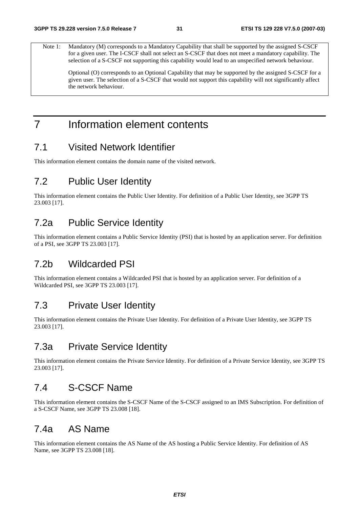Note 1: Mandatory (M) corresponds to a Mandatory Capability that shall be supported by the assigned S-CSCF for a given user. The I-CSCF shall not select an S-CSCF that does not meet a mandatory capability. The selection of a S-CSCF not supporting this capability would lead to an unspecified network behaviour.

 Optional (O) corresponds to an Optional Capability that may be supported by the assigned S-CSCF for a given user. The selection of a S-CSCF that would not support this capability will not significantly affect the network behaviour.

# 7 Information element contents

## 7.1 Visited Network Identifier

This information element contains the domain name of the visited network.

## 7.2 Public User Identity

This information element contains the Public User Identity. For definition of a Public User Identity, see 3GPP TS 23.003 [17].

## 7.2a Public Service Identity

This information element contains a Public Service Identity (PSI) that is hosted by an application server. For definition of a PSI, see 3GPP TS 23.003 [17].

## 7.2b Wildcarded PSI

This information element contains a Wildcarded PSI that is hosted by an application server. For definition of a Wildcarded PSI, see 3GPP TS 23.003 [17].

## 7.3 Private User Identity

This information element contains the Private User Identity. For definition of a Private User Identity, see 3GPP TS 23.003 [17].

## 7.3a Private Service Identity

This information element contains the Private Service Identity. For definition of a Private Service Identity, see 3GPP TS 23.003 [17].

## 7.4 S-CSCF Name

This information element contains the S-CSCF Name of the S-CSCF assigned to an IMS Subscription. For definition of a S-CSCF Name, see 3GPP TS 23.008 [18].

## 7.4a AS Name

This information element contains the AS Name of the AS hosting a Public Service Identity. For definition of AS Name, see 3GPP TS 23.008 [18].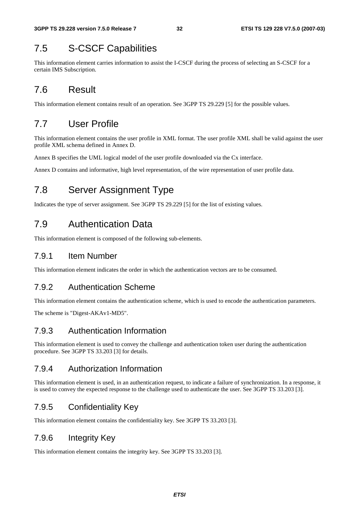## 7.5 S-CSCF Capabilities

This information element carries information to assist the I-CSCF during the process of selecting an S-CSCF for a certain IMS Subscription.

## 7.6 Result

This information element contains result of an operation. See 3GPP TS 29.229 [5] for the possible values.

## 7.7 User Profile

This information element contains the user profile in XML format. The user profile XML shall be valid against the user profile XML schema defined in Annex D.

Annex B specifies the UML logical model of the user profile downloaded via the Cx interface.

Annex D contains and informative, high level representation, of the wire representation of user profile data.

# 7.8 Server Assignment Type

Indicates the type of server assignment. See 3GPP TS 29.229 [5] for the list of existing values.

## 7.9 Authentication Data

This information element is composed of the following sub-elements.

#### 7.9.1 Item Number

This information element indicates the order in which the authentication vectors are to be consumed.

#### 7.9.2 Authentication Scheme

This information element contains the authentication scheme, which is used to encode the authentication parameters.

The scheme is "Digest-AKAv1-MD5".

#### 7.9.3 Authentication Information

This information element is used to convey the challenge and authentication token user during the authentication procedure. See 3GPP TS 33.203 [3] for details.

#### 7.9.4 Authorization Information

This information element is used, in an authentication request, to indicate a failure of synchronization. In a response, it is used to convey the expected response to the challenge used to authenticate the user. See 3GPP TS 33.203 [3].

### 7.9.5 Confidentiality Key

This information element contains the confidentiality key. See 3GPP TS 33.203 [3].

### 7.9.6 Integrity Key

This information element contains the integrity key. See 3GPP TS 33.203 [3].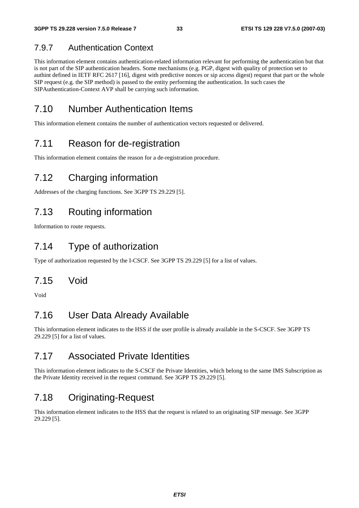## 7.9.7 Authentication Context

This information element contains authentication-related information relevant for performing the authentication but that is not part of the SIP authentication headers. Some mechanisms (e.g. PGP, digest with quality of protection set to authint defined in IETF RFC 2617 [16], digest with predictive nonces or sip access digest) request that part or the whole SIP request (e.g. the SIP method) is passed to the entity performing the authentication. In such cases the SIPAuthentication-Context AVP shall be carrying such information.

# 7.10 Number Authentication Items

This information element contains the number of authentication vectors requested or delivered.

## 7.11 Reason for de-registration

This information element contains the reason for a de-registration procedure.

# 7.12 Charging information

Addresses of the charging functions. See 3GPP TS 29.229 [5].

## 7.13 Routing information

Information to route requests.

# 7.14 Type of authorization

Type of authorization requested by the I-CSCF. See 3GPP TS 29.229 [5] for a list of values.

## 7.15 Void

Void

# 7.16 User Data Already Available

This information element indicates to the HSS if the user profile is already available in the S-CSCF. See 3GPP TS 29.229 [5] for a list of values.

# 7.17 Associated Private Identities

This information element indicates to the S-CSCF the Private Identities, which belong to the same IMS Subscription as the Private Identity received in the request command. See 3GPP TS 29.229 [5].

# 7.18 Originating-Request

This information element indicates to the HSS that the request is related to an originating SIP message. See 3GPP 29.229 [5].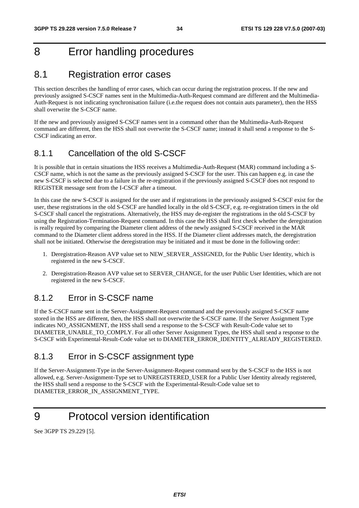# 8 Error handling procedures

## 8.1 Registration error cases

This section describes the handling of error cases, which can occur during the registration process. If the new and previously assigned S-CSCF names sent in the Multimedia-Auth-Request command are different and the Multimedia-Auth-Request is not indicating synchronisation failure (i.e.the request does not contain auts parameter), then the HSS shall overwrite the S-CSCF name.

If the new and previously assigned S-CSCF names sent in a command other than the Multimedia-Auth-Request command are different, then the HSS shall not overwrite the S-CSCF name; instead it shall send a response to the S-CSCF indicating an error.

#### 8.1.1 Cancellation of the old S-CSCF

It is possible that in certain situations the HSS receives a Multimedia-Auth-Request (MAR) command including a S-CSCF name, which is not the same as the previously assigned S-CSCF for the user. This can happen e.g. in case the new S-CSCF is selected due to a failure in the re-registration if the previously assigned S-CSCF does not respond to REGISTER message sent from the I-CSCF after a timeout.

In this case the new S-CSCF is assigned for the user and if registrations in the previously assigned S-CSCF exist for the user, these registrations in the old S-CSCF are handled locally in the old S-CSCF, e.g. re-registration timers in the old S-CSCF shall cancel the registrations. Alternatively, the HSS may de-register the registrations in the old S-CSCF by using the Registration-Termination-Request command. In this case the HSS shall first check whether the deregistration is really required by comparing the Diameter client address of the newly assigned S-CSCF received in the MAR command to the Diameter client address stored in the HSS. If the Diameter client addresses match, the deregistration shall not be initiated. Otherwise the deregistration may be initiated and it must be done in the following order:

- 1. Deregistration-Reason AVP value set to NEW\_SERVER\_ASSIGNED, for the Public User Identity, which is registered in the new S-CSCF.
- 2. Deregistration-Reason AVP value set to SERVER\_CHANGE, for the user Public User Identities, which are not registered in the new S-CSCF.

### 8.1.2 Error in S-CSCF name

If the S-CSCF name sent in the Server-Assignment-Request command and the previously assigned S-CSCF name stored in the HSS are different, then, the HSS shall not overwrite the S-CSCF name. If the Server Assignment Type indicates NO\_ASSIGNMENT, the HSS shall send a response to the S-CSCF with Result-Code value set to DIAMETER\_UNABLE\_TO\_COMPLY. For all other Server Assignment Types, the HSS shall send a response to the S-CSCF with Experimental-Result-Code value set to DIAMETER\_ERROR\_IDENTITY\_ALREADY\_REGISTERED.

## 8.1.3 Error in S-CSCF assignment type

If the Server-Assignment-Type in the Server-Assignment-Request command sent by the S-CSCF to the HSS is not allowed, e.g. Server-Assignment-Type set to UNREGISTERED\_USER for a Public User Identity already registered, the HSS shall send a response to the S-CSCF with the Experimental-Result-Code value set to DIAMETER\_ERROR\_IN\_ASSIGNMENT\_TYPE.

## 9 Protocol version identification

See 3GPP TS 29.229 [5].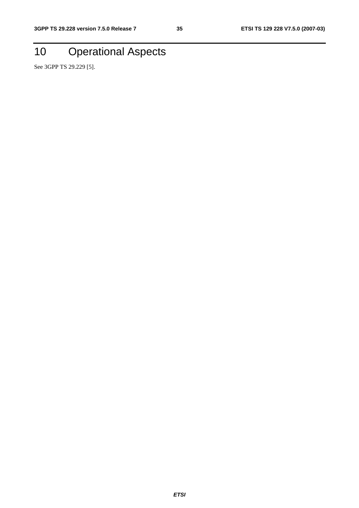# 10 Operational Aspects

See 3GPP TS 29.229 [5].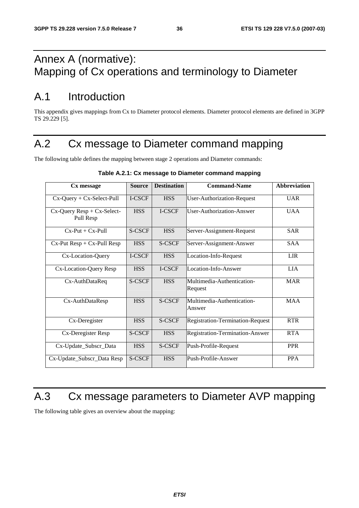# Annex A (normative): Mapping of Cx operations and terminology to Diameter

# A.1 Introduction

This appendix gives mappings from Cx to Diameter protocol elements. Diameter protocol elements are defined in 3GPP TS 29.229 [5].

# A.2 Cx message to Diameter command mapping

The following table defines the mapping between stage 2 operations and Diameter commands:

| Cx message                                    | <b>Source</b> | <b>Destination</b> | <b>Command-Name</b>                   | <b>Abbreviation</b> |
|-----------------------------------------------|---------------|--------------------|---------------------------------------|---------------------|
| $Cx$ -Query + $Cx$ -Select-Pull               | I-CSCF        | <b>HSS</b>         | User-Authorization-Request            | <b>UAR</b>          |
| $Cx$ -Query Resp + $Cx$ -Select-<br>Pull Resp | <b>HSS</b>    | I-CSCF             | User-Authorization-Answer             | <b>UAA</b>          |
| $Cx-Put + Cx-Pu11$                            | S-CSCF        | <b>HSS</b>         | Server-Assignment-Request             | <b>SAR</b>          |
| $Cx-Put Resp + Cx-Pull Resp$                  | <b>HSS</b>    | S-CSCF             | Server-Assignment-Answer              | <b>SAA</b>          |
| Cx-Location-Query                             | I-CSCF        | <b>HSS</b>         | Location-Info-Request                 | <b>LIR</b>          |
| Cx-Location-Query Resp                        | <b>HSS</b>    | I-CSCF             | Location-Info-Answer                  | <b>LIA</b>          |
| Cx-AuthDataReq                                | S-CSCF        | <b>HSS</b>         | Multimedia-Authentication-<br>Request | <b>MAR</b>          |
| Cx-AuthDataResp                               | <b>HSS</b>    | S-CSCF             | Multimedia-Authentication-<br>Answer  | <b>MAA</b>          |
| Cx-Deregister                                 | <b>HSS</b>    | S-CSCF             | Registration-Termination-Request      | <b>RTR</b>          |
| Cx-Deregister Resp                            | S-CSCF        | <b>HSS</b>         | Registration-Termination-Answer       | <b>RTA</b>          |
| Cx-Update_Subscr_Data                         | <b>HSS</b>    | S-CSCF             | Push-Profile-Request                  | <b>PPR</b>          |
| Cx-Update_Subscr_Data Resp                    | S-CSCF        | <b>HSS</b>         | Push-Profile-Answer                   | <b>PPA</b>          |

#### **Table A.2.1: Cx message to Diameter command mapping**

# A.3 Cx message parameters to Diameter AVP mapping

The following table gives an overview about the mapping: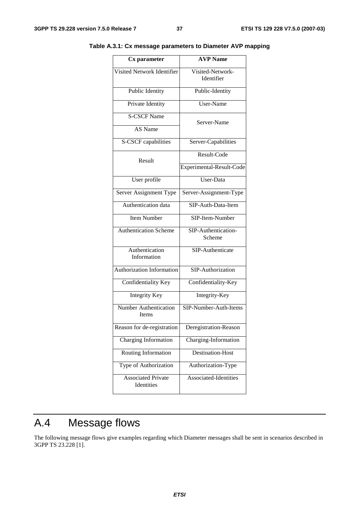| Cx parameter                            | <b>AVP Name</b>                |  |  |
|-----------------------------------------|--------------------------------|--|--|
| Visited Network Identifier              | Visited-Network-<br>Identifier |  |  |
| Public Identity                         | Public-Identity                |  |  |
| Private Identity                        | User-Name                      |  |  |
| <b>S-CSCF Name</b>                      | Server-Name                    |  |  |
| AS Name                                 |                                |  |  |
| S-CSCF capabilities                     | Server-Capabilities            |  |  |
| Result                                  | Result-Code                    |  |  |
|                                         | Experimental-Result-Code       |  |  |
| User profile                            | $\overline{\text{User-Data}}$  |  |  |
| Server Assignment Type                  | Server-Assignment-Type         |  |  |
| Authentication data                     | SIP-Auth-Data-Item             |  |  |
| <b>Item Number</b>                      | SIP-Item-Number                |  |  |
| <b>Authentication Scheme</b>            | SIP-Authentication-<br>Scheme  |  |  |
| Authentication<br>Information           | SIP-Authenticate               |  |  |
| <b>Authorization Information</b>        | SIP-Authorization              |  |  |
| Confidentiality Key                     | Confidentiality-Key            |  |  |
| <b>Integrity Key</b>                    | Integrity-Key                  |  |  |
| <b>Number Authentication</b><br>Items   | SIP-Number-Auth-Items          |  |  |
| Reason for de-registration              | Deregistration-Reason          |  |  |
| Charging Information                    | Charging-Information           |  |  |
| Routing Information                     | <b>Destination-Host</b>        |  |  |
| Type of Authorization                   | Authorization-Type             |  |  |
| <b>Associated Private</b><br>Identities | Associated-Identities          |  |  |

**Table A.3.1: Cx message parameters to Diameter AVP mapping** 

# A.4 Message flows

The following message flows give examples regarding which Diameter messages shall be sent in scenarios described in 3GPP TS 23.228 [1].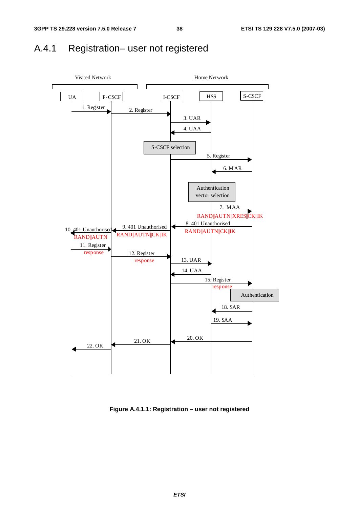## A.4.1 Registration– user not registered



**Figure A.4.1.1: Registration – user not registered**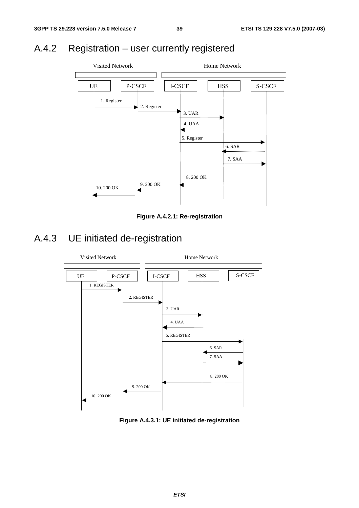# A.4.2 Registration – user currently registered



**Figure A.4.2.1: Re-registration** 

# A.4.3 UE initiated de-registration



**Figure A.4.3.1: UE initiated de-registration**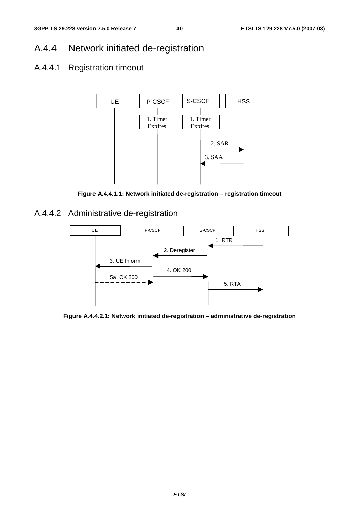# A.4.4 Network initiated de-registration

## A.4.4.1 Registration timeout



**Figure A.4.4.1.1: Network initiated de-registration – registration timeout** 

A.4.4.2 Administrative de-registration



**Figure A.4.4.2.1: Network initiated de-registration – administrative de-registration**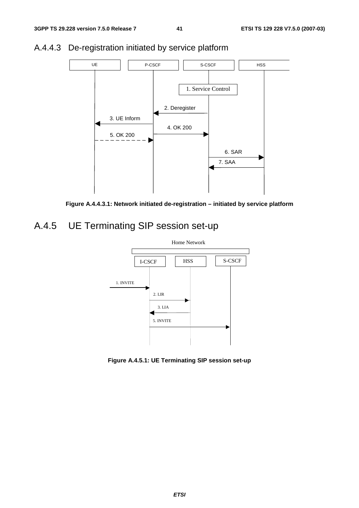

## A.4.4.3 De-registration initiated by service platform



# A.4.5 UE Terminating SIP session set-up



**Figure A.4.5.1: UE Terminating SIP session set-up**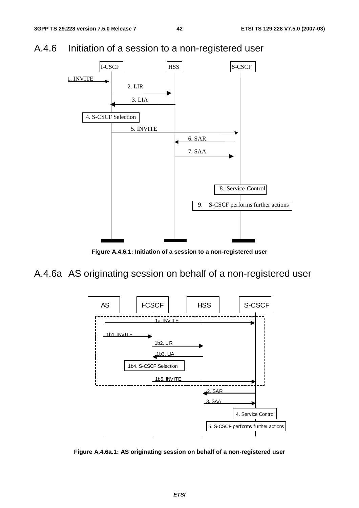



**Figure A.4.6.1: Initiation of a session to a non-registered user** 

A.4.6a AS originating session on behalf of a non-registered user



**Figure A.4.6a.1: AS originating session on behalf of a non-registered user**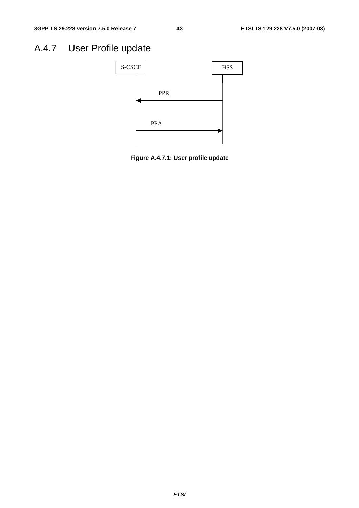# A.4.7 User Profile update



**Figure A.4.7.1: User profile update**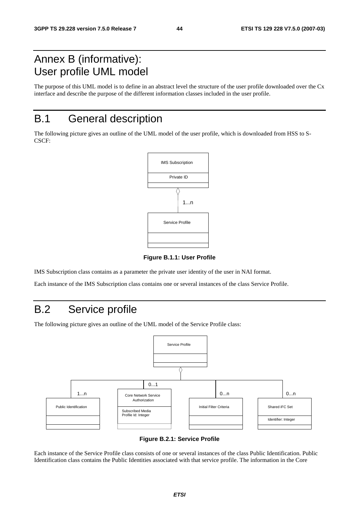# Annex B (informative): User profile UML model

The purpose of this UML model is to define in an abstract level the structure of the user profile downloaded over the Cx interface and describe the purpose of the different information classes included in the user profile.

# B.1 General description

The following picture gives an outline of the UML model of the user profile, which is downloaded from HSS to S-CSCF:



**Figure B.1.1: User Profile** 

IMS Subscription class contains as a parameter the private user identity of the user in NAI format.

Each instance of the IMS Subscription class contains one or several instances of the class Service Profile.

# B.2 Service profile

The following picture gives an outline of the UML model of the Service Profile class:



**Figure B.2.1: Service Profile** 

Each instance of the Service Profile class consists of one or several instances of the class Public Identification. Public Identification class contains the Public Identities associated with that service profile. The information in the Core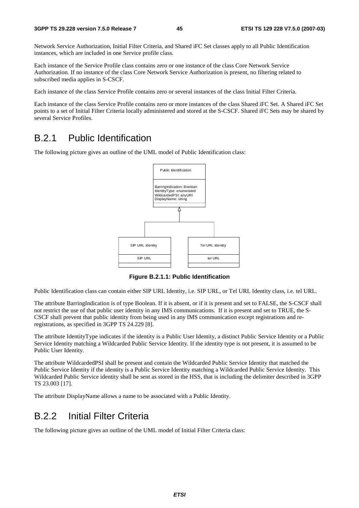Network Service Authorization, Initial Filter Criteria, and Shared iFC Set classes apply to all Public Identification instances, which are included in one Service profile class.

Each instance of the Service Profile class contains zero or one instance of the class Core Network Service Authorization. If no instance of the class Core Network Service Authorization is present, no filtering related to subscribed media applies in S-CSCF.

Each instance of the class Service Profile contains zero or several instances of the class Initial Filter Criteria.

Each instance of the class Service Profile contains zero or more instances of the class Shared iFC Set. A Shared iFC Set points to a set of Initial Filter Criteria locally administered and stored at the S-CSCF. Shared iFC Sets may be shared by several Service Profiles.

## B.2.1 Public Identification

The following picture gives an outline of the UML model of Public Identification class:



**Figure B.2.1.1: Public Identification** 

Public Identification class can contain either SIP URL Identity, i.e. SIP URL, or Tel URL Identity class, i.e. tel URL.

The attribute BarringIndication is of type Boolean. If it is absent, or if it is present and set to FALSE, the S-CSCF shall not restrict the use of that public user identity in any IMS communications. If it is present and set to TRUE, the S-CSCF shall prevent that public identity from being used in any IMS communication except registrations and reregistrations, as specified in 3GPP TS 24.229 [8].

The attribute IdentityType indicates if the identity is a Public User Identity, a distinct Public Service Identity or a Public Service Identity matching a Wildcarded Public Service Identity. If the identity type is not present, it is assumed to be Public User Identity.

The attribute WildcardedPSI shall be present and contain the Wildcarded Public Service Identity that matched the Public Service Identity if the identity is a Public Service Identity matching a Wildcarded Public Service Identity. This Wildcarded Public Service identity shall be sent as stored in the HSS, that is including the delimiter described in 3GPP TS 23.003 [17].

The attribute DisplayName allows a name to be associated with a Public Identity.

## B.2.2 Initial Filter Criteria

The following picture gives an outline of the UML model of Initial Filter Criteria class: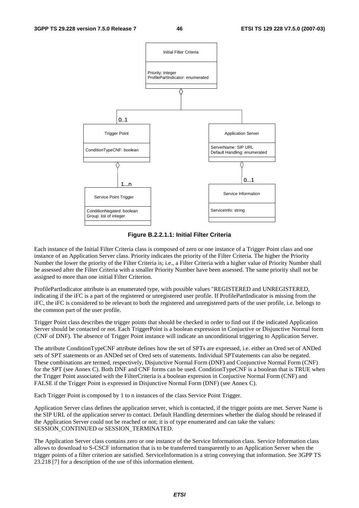

**Figure B.2.2.1.1: Initial Filter Criteria** 

Each instance of the Initial Filter Criteria class is composed of zero or one instance of a Trigger Point class and one instance of an Application Server class. Priority indicates the priority of the Filter Criteria. The higher the Priority Number the lower the priority of the Filter Criteria is; i.e., a Filter Criteria with a higher value of Priority Number shall be assessed after the Filter Criteria with a smaller Priority Number have been assessed. The same priority shall not be assigned to more than one initial Filter Criterion.

ProfilePartIndicator attribute is an enumerated type, with possible values "REGISTERED and UNREGISTERED, indicating if the iFC is a part of the registered or unregistered user profile. If ProfilePartIndicator is missing from the iFC, the iFC is considered to be relevant to both the registered and unregistered parts of the user profile, i.e. belongs to the common part of the user profile.

Trigger Point class describes the trigger points that should be checked in order to find out if the indicated Application Server should be contacted or not. Each TriggerPoint is a boolean expression in Conjuctive or Disjunctive Normal form (CNF of DNF). The absence of Trigger Point instance will indicate an unconditional triggering to Application Server.

The attribute ConditionTypeCNF attribute defines how the set of SPTs are expressed, i.e. either an Ored set of ANDed sets of SPT statements or an ANDed set of Ored sets of statements. Individual SPTstatements can also be negated. These combinations are termed, respectively, Disjunctive Normal Form (DNF) and Conjunctive Normal Form (CNF) for the SPT (see Annex C). Both DNF and CNF forms can be used. ConditionTypeCNF is a boolean that is TRUE when the Trigger Point associated with the FilterCriteria is a boolean expresion in Conjuctive Normal Form (CNF) and FALSE if the Trigger Point is expressed in Disjunctive Normal Form (DNF) (see Annex C).

Each Trigger Point is composed by 1 to n instances of the class Service Point Trigger.

Application Server class defines the application server, which is contacted, if the trigger points are met. Server Name is the SIP URL of the application server to contact. Default Handling determines whether the dialog should be released if the Application Server could not be reached or not; it is of type enumerated and can take the values: SESSION\_CONTINUED or SESSION\_TERMINATED.

The Application Server class contains zero or one instance of the Service Information class. Service Information class allows to download to S-CSCF information that is to be transferred transparently to an Application Server when the trigger points of a filter criterion are satisfied. ServiceInformation is a string conveying that information. See 3GPP TS 23.218 [7] for a description of the use of this information element.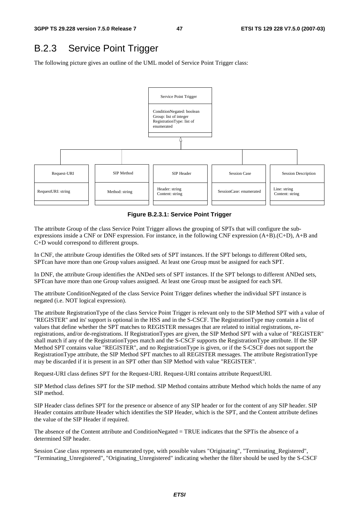## B.2.3 Service Point Trigger

The following picture gives an outline of the UML model of Service Point Trigger class:



**Figure B.2.3.1: Service Point Trigger** 

The attribute Group of the class Service Point Trigger allows the grouping of SPTs that will configure the subexpressions inside a CNF or DNF expression. For instance, in the following CNF expression (A+B).(C+D), A+B and C+D would correspond to different groups.

In CNF, the attribute Group identifies the ORed sets of SPT instances. If the SPT belongs to different ORed sets, SPTcan have more than one Group values assigned. At least one Group must be assigned for each SPT.

In DNF, the attribute Group identifies the ANDed sets of SPT instances. If the SPT belongs to different ANDed sets, SPTcan have more than one Group values assigned. At least one Group must be assigned for each SPI.

The attribute ConditionNegated of the class Service Point Trigger defines whether the individual SPT instance is negated (i.e. NOT logical expression).

The attribute RegistrationType of the class Service Point Trigger is relevant only to the SIP Method SPT with a value of "REGISTER" and its' support is optional in the HSS and in the S-CSCF. The RegistrationType may contain a list of values that define whether the SPT matches to REGISTER messages that are related to initial registrations, reregistrations, and/or de-registrations. If RegistrationTypes are given, the SIP Method SPT with a value of "REGISTER" shall match if any of the RegistrationTypes match and the S-CSCF supports the RegistrationType attribute. If the SIP Method SPT contains value "REGISTER", and no RegistrationType is given, or if the S-CSCF does not support the RegistrationType attribute, the SIP Method SPT matches to all REGISTER messages. The attribute RegistrationType may be discarded if it is present in an SPT other than SIP Method with value "REGISTER".

Request-URI class defines SPT for the Request-URI. Request-URI contains attribute RequestURI.

SIP Method class defines SPT for the SIP method. SIP Method contains attribute Method which holds the name of any SIP method.

SIP Header class defines SPT for the presence or absence of any SIP header or for the content of any SIP header. SIP Header contains attribute Header which identifies the SIP Header, which is the SPT, and the Content attribute defines the value of the SIP Header if required.

The absence of the Content attribute and ConditionNegated = TRUE indicates that the SPTis the absence of a determined SIP header.

Session Case class represents an enumerated type, with possible values "Originating", "Terminating\_Registered", "Terminating\_Unregistered", "Originating\_Unregistered" indicating whether the filter should be used by the S-CSCF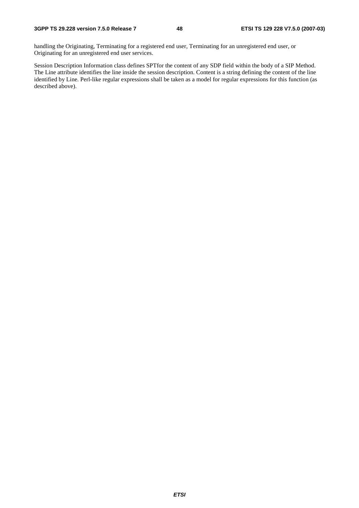handling the Originating, Terminating for a registered end user, Terminating for an unregistered end user, or Originating for an unregistered end user services.

Session Description Information class defines SPTfor the content of any SDP field within the body of a SIP Method. The Line attribute identifies the line inside the session description. Content is a string defining the content of the line identified by Line. Perl-like regular expressions shall be taken as a model for regular expressions for this function (as described above).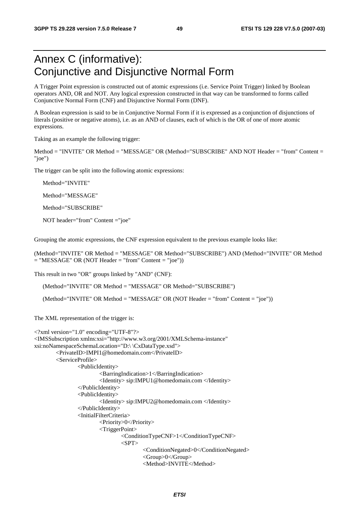# Annex C (informative): Conjunctive and Disjunctive Normal Form

A Trigger Point expression is constructed out of atomic expressions (i.e. Service Point Trigger) linked by Boolean operators AND, OR and NOT. Any logical expression constructed in that way can be transformed to forms called Conjunctive Normal Form (CNF) and Disjunctive Normal Form (DNF).

A Boolean expression is said to be in Conjunctive Normal Form if it is expressed as a conjunction of disjunctions of literals (positive or negative atoms), i.e. as an AND of clauses, each of which is the OR of one of more atomic expressions.

Taking as an example the following trigger:

Method = "INVITE" OR Method = "MESSAGE" OR (Method="SUBSCRIBE" AND NOT Header = "from" Content = "joe")

The trigger can be split into the following atomic expressions:

Method="INVITE"

Method="MESSAGE"

Method="SUBSCRIBE"

NOT header="from" Content ="joe"

Grouping the atomic expressions, the CNF expression equivalent to the previous example looks like:

(Method="INVITE" OR Method = "MESSAGE" OR Method="SUBSCRIBE") AND (Method="INVITE" OR Method  $=$  "MESSAGE" OR (NOT Header  $=$  "from" Content  $=$  "joe"))

This result in two "OR" groups linked by "AND" (CNF):

(Method="INVITE" OR Method = "MESSAGE" OR Method="SUBSCRIBE")

(Method="INVITE" OR Method = "MESSAGE" OR (NOT Header = "from" Content = "joe"))

The XML representation of the trigger is:

```
<?xml version="1.0" encoding="UTF-8"?> 
<IMSSubscription xmlns:xsi="http://www.w3.org/2001/XMLSchema-instance" 
xsi:noNamespaceSchemaLocation="D:\ \CxDataType.xsd"> 
         <PrivateID>IMPI1@homedomain.com</PrivateID> 
         <ServiceProfile> 
                 <PublicIdentity> 
                          <BarringIndication>1</BarringIndication> 
                          <Identity> sip:IMPU1@homedomain.com </Identity> 
                  </PublicIdentity> 
                  <PublicIdentity> 
                          <Identity> sip:IMPU2@homedomain.com </Identity> 
                  </PublicIdentity> 
                  <InitialFilterCriteria> 
                          <Priority>0</Priority> 
                          <TriggerPoint> 
                                  <ConditionTypeCNF>1</ConditionTypeCNF> 
                                 <SPT> <ConditionNegated>0</ConditionNegated> 
                                           <Group>0</Group> 
                                           <Method>INVITE</Method>
```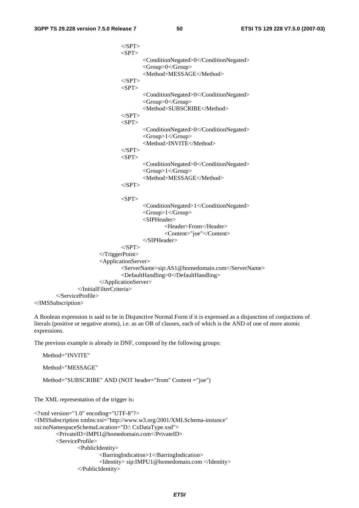$\langle$ SPT $>$  $<$ SPT $>$  <ConditionNegated>0</ConditionNegated> <Group>0</Group> <Method>MESSAGE</Method>  $<$ /SPT>  $<$ SPT $>$  <ConditionNegated>0</ConditionNegated> <Group>0</Group> <Method>SUBSCRIBE</Method>  $<$ /SPT>  $<$ SPT $>$  <ConditionNegated>0</ConditionNegated> <Group>1</Group> <Method>INVITE</Method>  $<$ /SPT>  $<$ SPT $>$  <ConditionNegated>0</ConditionNegated> <Group>1</Group> <Method>MESSAGE</Method>  $<$ /SPT $>$  $<$ SPT $>$  <ConditionNegated>1</ConditionNegated> <Group>1</Group> <SIPHeader> <Header>From</Header> <Content>"joe"</Content> </SIPHeader>  $<$ /SPT> </TriggerPoint> <ApplicationServer> <ServerName>sip:AS1@homedomain.com</ServerName> <DefaultHandling>0</DefaultHandling> </ApplicationServer> </InitialFilterCriteria> </ServiceProfile> </IMSSubscription>

A Boolean expression is said to be in Disjunctive Normal Form if it is expressed as a disjunction of conjuctions of literals (positive or negative atoms), i.e. as an OR of clauses, each of which is the AND of one of more atomic expressions.

The previous example is already in DNF, composed by the following groups:

Method="SUBSCRIBE" AND (NOT header="from" Content ="joe")

Method="INVITE"

Method="MESSAGE"

```
The XML representation of the trigger is: 
<?xml version="1.0" encoding="UTF-8"?> 
<IMSSubscription xmlns:xsi="http://www.w3.org/2001/XMLSchema-instance" 
xsi:noNamespaceSchemaLocation="D:\ CxDataType.xsd"> 
         <PrivateID>IMPI1@homedomain.com</PrivateID> 
         <ServiceProfile> 
                 <PublicIdentity> 
                          <BarringIndication>1</BarringIndication> 
                          <Identity> sip:IMPU1@homedomain.com </Identity> 
                  </PublicIdentity>
```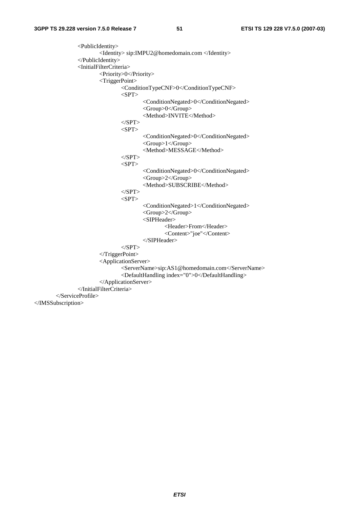<PublicIdentity> <Identity> sip:IMPU2@homedomain.com </Identity> </PublicIdentity> <InitialFilterCriteria> <Priority>0</Priority> <TriggerPoint> <ConditionTypeCNF>0</ConditionTypeCNF>  $<$ SPT $>$  <ConditionNegated>0</ConditionNegated> <Group>0</Group> <Method>INVITE</Method>  $<$ /SPT $>$  $<$ SPT $>$  <ConditionNegated>0</ConditionNegated> <Group>1</Group> <Method>MESSAGE</Method>  $<$ /SPT $>$  $<$ SPT $>$  <ConditionNegated>0</ConditionNegated> <Group>2</Group> <Method>SUBSCRIBE</Method>  $<$ /SPT>  $\langle$ SPT $>$  <ConditionNegated>1</ConditionNegated> <Group>2</Group> <SIPHeader> <Header>From</Header> <Content>"joe"</Content> </SIPHeader>  $<$ /SPT> </TriggerPoint> <ApplicationServer> <ServerName>sip:AS1@homedomain.com</ServerName> <DefaultHandling index="0">0</DefaultHandling> </ApplicationServer> </InitialFilterCriteria> </ServiceProfile> </IMSSubscription>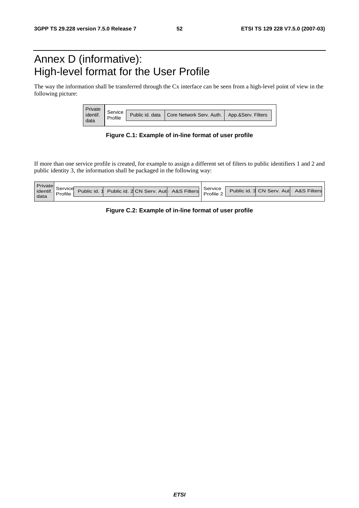# Annex D (informative): High-level format for the User Profile

The way the information shall be transferred through the Cx interface can be seen from a high-level point of view in the following picture:

| Private  |         |                                            |                    |
|----------|---------|--------------------------------------------|--------------------|
| identif. | Service | Public id. data   Core Network Serv. Auth. | App.&Serv. Filters |
| data     |         |                                            |                    |

**Figure C.1: Example of in-line format of user profile** 

If more than one service profile is created, for example to assign a different set of filters to public identifiers 1 and 2 and public identity 3, the information shall be packaged in the following way:

| Private  |          |             |                                       |           |                                       |  |
|----------|----------|-------------|---------------------------------------|-----------|---------------------------------------|--|
| identif. | Service  |             | Public id. 2 CN Serv. Aut A&S Filters | Service   | Public id. 3 CN Serv. Aut A&S Filters |  |
|          | $\cdots$ | ublic id. 1 |                                       | Profile 2 |                                       |  |
| data     |          |             |                                       |           |                                       |  |

**Figure C.2: Example of in-line format of user profile**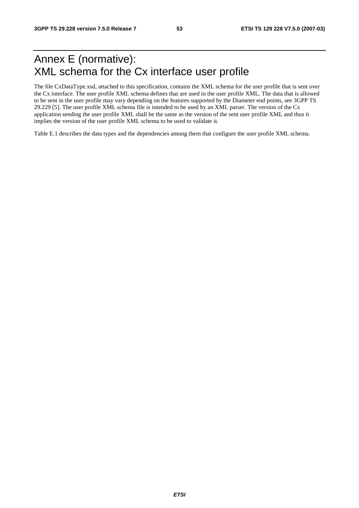# Annex E (normative): XML schema for the Cx interface user profile

The file CxDataType.xsd, attached to this specification, contains the XML schema for the user profile that is sent over the Cx interface. The user profile XML schema defines that are used in the user profile XML. The data that is allowed to be sent in the user profile may vary depending on the features supported by the Diameter end points, see 3GPP TS 29.229 [5]. The user profile XML schema file is intended to be used by an XML parser. The version of the Cx application sending the user profile XML shall be the same as the version of the sent user profile XML and thus it implies the version of the user profile XML schema to be used to validate it.

Table E.1 describes the data types and the dependencies among them that configure the user profile XML schema.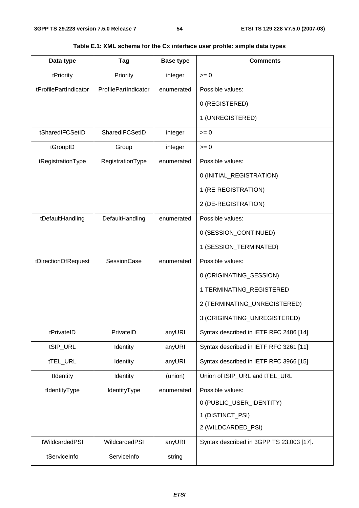| Data type             | Tag                  | <b>Base type</b> | <b>Comments</b>                          |
|-----------------------|----------------------|------------------|------------------------------------------|
| tPriority             | Priority             | integer          | $>= 0$                                   |
| tProfilePartIndicator | ProfilePartIndicator | enumerated       | Possible values:                         |
|                       |                      |                  | 0 (REGISTERED)                           |
|                       |                      |                  | 1 (UNREGISTERED)                         |
| tSharedIFCSetID       | SharedIFCSetID       | integer          | $>= 0$                                   |
| tGroupID              | Group                | integer          | $>= 0$                                   |
| tRegistrationType     | RegistrationType     | enumerated       | Possible values:                         |
|                       |                      |                  | 0 (INITIAL_REGISTRATION)                 |
|                       |                      |                  | 1 (RE-REGISTRATION)                      |
|                       |                      |                  | 2 (DE-REGISTRATION)                      |
| tDefaultHandling      | DefaultHandling      | enumerated       | Possible values:                         |
|                       |                      |                  | 0 (SESSION_CONTINUED)                    |
|                       |                      |                  | 1 (SESSION_TERMINATED)                   |
| tDirectionOfRequest   | <b>SessionCase</b>   | enumerated       | Possible values:                         |
|                       |                      |                  | 0 (ORIGINATING_SESSION)                  |
|                       |                      |                  | 1 TERMINATING_REGISTERED                 |
|                       |                      |                  | 2 (TERMINATING_UNREGISTERED)             |
|                       |                      |                  | 3 (ORIGINATING_UNREGISTERED)             |
| tPrivateID            | PrivateID            | anyURI           | Syntax described in IETF RFC 2486 [14]   |
| tSIP_URL              | Identity             | anyURI           | Syntax described in IETF RFC 3261 [11]   |
| tTEL_URL              | Identity             | anyURI           | Syntax described in IETF RFC 3966 [15]   |
| tIdentity             | Identity             | (union)          | Union of tSIP_URL and tTEL_URL           |
| tIdentityType         | IdentityType         | enumerated       | Possible values:                         |
|                       |                      |                  | 0 (PUBLIC_USER_IDENTITY)                 |
|                       |                      |                  | 1 (DISTINCT_PSI)                         |
|                       |                      |                  | 2 (WILDCARDED_PSI)                       |
| tWildcardedPSI        | WildcardedPSI        | anyURI           | Syntax described in 3GPP TS 23.003 [17]. |
| tServiceInfo          | ServiceInfo          | string           |                                          |

**Table E.1: XML schema for the Cx interface user profile: simple data types**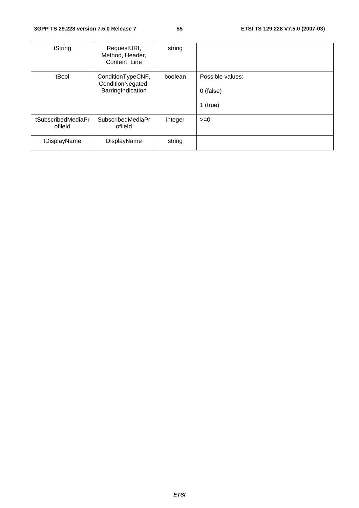| tString                       | RequestURI,<br>Method, Header,<br>Content, Line | string  |                  |
|-------------------------------|-------------------------------------------------|---------|------------------|
| tBool                         | ConditionTypeCNF,<br>ConditionNegated,          | boolean | Possible values: |
|                               | BarringIndication                               |         | $0$ (false)      |
|                               |                                                 |         | $1$ (true)       |
| tSubscribedMediaPr<br>ofileld | <b>SubscribedMediaPr</b><br>ofileld             | integer | $>=0$            |
| tDisplayName                  | DisplayName                                     | string  |                  |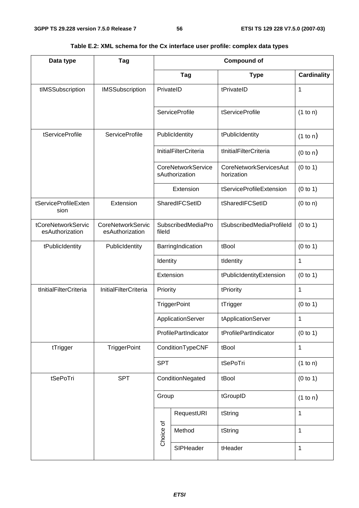| Data type                             | Tag                                  |            | <b>Compound of</b>                          |                                             |                    |  |  |
|---------------------------------------|--------------------------------------|------------|---------------------------------------------|---------------------------------------------|--------------------|--|--|
|                                       |                                      |            | <b>Tag</b>                                  | <b>Type</b>                                 | <b>Cardinality</b> |  |  |
| tIMSSubscription                      | <b>IMSSubscription</b>               | PrivateID  |                                             | tPrivateID                                  | 1                  |  |  |
|                                       |                                      |            | <b>ServiceProfile</b>                       | tServiceProfile                             | (1 to n)           |  |  |
| tServiceProfile                       | <b>ServiceProfile</b>                |            | PublicIdentity                              | tPublicIdentity                             | (1 to n)           |  |  |
|                                       |                                      |            | <b>InitialFilterCriteria</b>                | tInitialFilterCriteria                      | (0 to n)           |  |  |
|                                       |                                      |            | <b>CoreNetworkService</b><br>sAuthorization | <b>CoreNetworkServicesAut</b><br>horization | (0 to 1)           |  |  |
|                                       |                                      |            | Extension                                   | tServiceProfileExtension                    | (0 to 1)           |  |  |
| tServiceProfileExten<br>sion          | Extension                            |            | SharedIFCSetID                              | tSharedIFCSetID                             | (0 to n)           |  |  |
| tCoreNetworkServic<br>esAuthorization | CoreNetworkServic<br>esAuthorization | fileld     | SubscribedMediaPro                          | tSubscribedMediaProfileId                   | (0 to 1)           |  |  |
| tPublicIdentity                       | PublicIdentity                       |            | BarringIndication                           | tBool                                       | (0 to 1)           |  |  |
|                                       |                                      | Identity   |                                             | tIdentity                                   | 1                  |  |  |
|                                       |                                      | Extension  |                                             | tPublicIdentityExtension                    | (0 to 1)           |  |  |
| tInitialFilterCriteria                | <b>InitialFilterCriteria</b>         | Priority   |                                             | tPriority                                   | 1                  |  |  |
|                                       |                                      |            | TriggerPoint                                | tTrigger                                    | (0 to 1)           |  |  |
|                                       |                                      |            | ApplicationServer                           | tApplicationServer                          | 1                  |  |  |
|                                       |                                      |            | ProfilePartIndicator                        | tProfilePartIndicator                       | (0 to 1)           |  |  |
| tTrigger                              | <b>TriggerPoint</b>                  |            | ConditionTypeCNF                            | tBool                                       | 1                  |  |  |
|                                       |                                      | <b>SPT</b> |                                             | tSePoTri                                    | (1 to n)           |  |  |
| tSePoTri                              | <b>SPT</b>                           |            | ConditionNegated                            | tBool                                       | (0 to 1)           |  |  |
|                                       |                                      | Group      |                                             | tGroupID                                    | (1 to n)           |  |  |
|                                       |                                      |            | RequestURI                                  | tString                                     | $\mathbf{1}$       |  |  |
|                                       |                                      | Choice of  | Method                                      | tString                                     | 1                  |  |  |
|                                       |                                      |            | SIPHeader                                   | tHeader                                     | $\mathbf 1$        |  |  |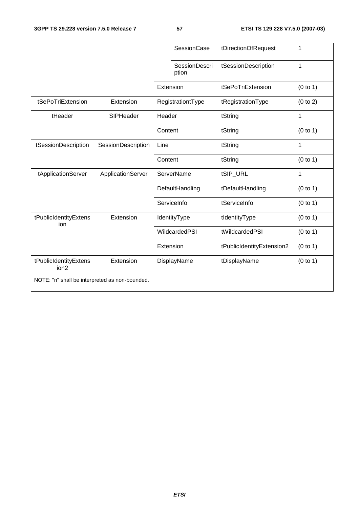|                                                |                    |         | <b>SessionCase</b>            | tDirectionOfRequest       | 1        |
|------------------------------------------------|--------------------|---------|-------------------------------|---------------------------|----------|
|                                                |                    |         | <b>SessionDescri</b><br>ption | tSessionDescription       | 1        |
|                                                |                    |         | Extension                     | tSePoTriExtension         | (0 to 1) |
| tSePoTriExtension                              | Extension          |         | RegistrationtType             | tRegistrationType         | (0 to 2) |
| tHeader                                        | SIPHeader          | Header  |                               | tString                   | 1        |
|                                                |                    | Content |                               | tString                   | (0 to 1) |
| tSessionDescription                            | SessionDescription | Line    |                               | tString                   | 1        |
|                                                |                    | Content |                               | tString                   | (0 to 1) |
| tApplicationServer                             | ApplicationServer  |         | <b>ServerName</b>             | tSIP_URL                  | 1        |
|                                                |                    |         | DefaultHandling               | tDefaultHandling          | (0 to 1) |
|                                                |                    |         | ServiceInfo                   | tServiceInfo              | (0 to 1) |
| tPublicIdentityExtens<br>ion                   | Extension          |         | IdentityType                  | tIdentityType             | (0 to 1) |
|                                                |                    |         | WildcardedPSI                 | tWildcardedPSI            | (0 to 1) |
|                                                |                    |         | Extension                     | tPublicIdentityExtension2 | (0 to 1) |
| tPublicIdentityExtens<br>ion2                  | Extension          |         | DisplayName                   | tDisplayName              | (0 to 1) |
| NOTE: "n" shall be interpreted as non-bounded. |                    |         |                               |                           |          |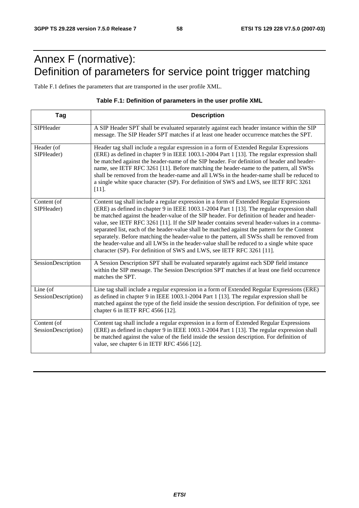# Annex F (normative): Definition of parameters for service point trigger matching

Table F.1 defines the parameters that are transported in the user profile XML.

#### **Table F.1: Definition of parameters in the user profile XML**

| Tag                                | <b>Description</b>                                                                                                                                                                                                                                                                                                                                                                                                                                                                                                                                                                                                                                                                                                                                            |
|------------------------------------|---------------------------------------------------------------------------------------------------------------------------------------------------------------------------------------------------------------------------------------------------------------------------------------------------------------------------------------------------------------------------------------------------------------------------------------------------------------------------------------------------------------------------------------------------------------------------------------------------------------------------------------------------------------------------------------------------------------------------------------------------------------|
| SIPHeader                          | A SIP Header SPT shall be evaluated separately against each header instance within the SIP<br>message. The SIP Header SPT matches if at least one header occurrence matches the SPT.                                                                                                                                                                                                                                                                                                                                                                                                                                                                                                                                                                          |
| Header (of<br>SIPHeader)           | Header tag shall include a regular expression in a form of Extended Regular Expressions<br>(ERE) as defined in chapter 9 in IEEE 1003.1-2004 Part 1 [13]. The regular expression shall<br>be matched against the header-name of the SIP header. For definition of header and header-<br>name, see IETF RFC 3261 [11]. Before matching the header-name to the pattern, all SWSs<br>shall be removed from the header-name and all LWSs in the header-name shall be reduced to<br>a single white space character (SP). For definition of SWS and LWS, see IETF RFC 3261<br>$[11]$ .                                                                                                                                                                              |
| Content (of<br>SIPHeader)          | Content tag shall include a regular expression in a form of Extended Regular Expressions<br>(ERE) as defined in chapter 9 in IEEE 1003.1-2004 Part 1 [13]. The regular expression shall<br>be matched against the header-value of the SIP header. For definition of header and header-<br>value, see IETF RFC 3261 [11]. If the SIP header contains several header-values in a comma-<br>separated list, each of the header-value shall be matched against the pattern for the Content<br>separately. Before matching the header-value to the pattern, all SWSs shall be removed from<br>the header-value and all LWSs in the header-value shall be reduced to a single white space<br>character (SP). For definition of SWS and LWS, see IETF RFC 3261 [11]. |
| SessionDescription                 | A Session Description SPT shall be evaluated separately against each SDP field instance<br>within the SIP message. The Session Description SPT matches if at least one field occurrence<br>matches the SPT.                                                                                                                                                                                                                                                                                                                                                                                                                                                                                                                                                   |
| Line (of<br>SessionDescription)    | Line tag shall include a regular expression in a form of Extended Regular Expressions (ERE)<br>as defined in chapter 9 in IEEE 1003.1-2004 Part 1 [13]. The regular expression shall be<br>matched against the type of the field inside the session description. For definition of type, see<br>chapter 6 in IETF RFC 4566 [12].                                                                                                                                                                                                                                                                                                                                                                                                                              |
| Content (of<br>SessionDescription) | Content tag shall include a regular expression in a form of Extended Regular Expressions<br>(ERE) as defined in chapter 9 in IEEE 1003.1-2004 Part 1 [13]. The regular expression shall<br>be matched against the value of the field inside the session description. For definition of<br>value, see chapter 6 in IETF RFC 4566 [12].                                                                                                                                                                                                                                                                                                                                                                                                                         |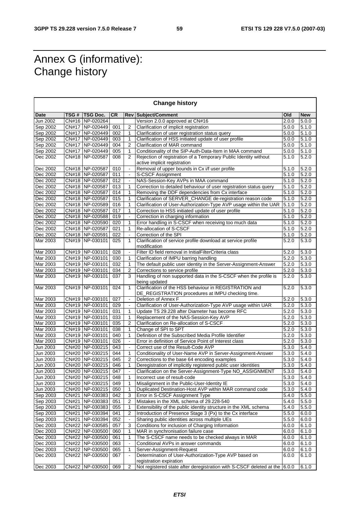# Annex G (informative): Change history

| <b>Change history</b> |  |                                      |           |                          |                                                                                                             |       |                |
|-----------------------|--|--------------------------------------|-----------|--------------------------|-------------------------------------------------------------------------------------------------------------|-------|----------------|
| Date                  |  | TSG # TSG Doc.                       | <b>CR</b> |                          | <b>Rev Subject/Comment</b>                                                                                  | Old   | <b>New</b>     |
| Jun 2002              |  | CN#16 NP-020264                      |           |                          | Version 2.0.0 approved at CN#16                                                                             | 2.0.0 | 5.0.0          |
| Sep 2002              |  | CN#17 NP-020449                      | 001       | $\overline{2}$           | Clarification of implicit registration                                                                      | 5.0.0 | 5.1.0          |
| Sep 2002              |  | CN#17 NP-020449                      | 002       | 1                        | Clarification of user registration status query                                                             | 5.0.0 | 5.1.0          |
| Sep 2002              |  | CN#17 NP-020449                      | 003       | 1                        | Clarification of HSS initiated update of user profile                                                       | 5.0.0 | 5.1.0          |
| Sep 2002              |  | CN#17 NP-020449                      | 004       | $\overline{2}$           | Clarification of MAR command                                                                                | 5.0.0 | 5.1.0          |
| Sep 2002              |  | CN#17   NP-020449                    | 005       | $\mathbf{1}$             | Conditionality of the SIP-Auth-Data-Item in MAA command                                                     | 5.0.0 | 5.1.0          |
| Dec 2002              |  | CN#18 NP-020587                      | 008       | 2                        | Rejection of registration of a Temporary Public Identity without                                            | 5.1.0 | 5.2.0          |
|                       |  |                                      |           |                          | active implicit registration                                                                                |       |                |
| Dec 2002              |  | CN#18 NP-020587                      | 010       | $\overline{\phantom{a}}$ | Removal of upper bounds in Cx i/f user profile                                                              | 5.1.0 | 5.2.0          |
| Dec 2002              |  | CN#18 NP-020587                      | 011       |                          | S-CSCF Assignment                                                                                           | 5.1.0 | 5.2.0          |
| Dec 2002              |  | CN#18 NP-020587                      | 012       |                          | NAS-Session-Key AVPs in MAA command                                                                         | 5.1.0 | 5.2.0          |
| Dec 2002              |  | CN#18 NP-020587                      | 013       | 1                        | Correction to detailed behaviour of user registration status query                                          | 5.1.0 | 5.2.0          |
| Dec 2002              |  | CN#18 NP-020587                      | 014       | $\mathbf{1}$             | Removing the DDF dependencies from Cx interface                                                             | 5.1.0 | 5.2.0          |
| Dec 2002              |  | CN#18 NP-020587                      | 015       | 1                        | Clarification of SERVER_CHANGE de-registration reason code                                                  | 5.1.0 | 5.2.0          |
| Dec 2002              |  | CN#18 NP-020589                      | 016       | 1                        | Clarification of User-Authorization-Type AVP usage within the UAR                                           | 5.1.0 | 5.2.0          |
| Dec 2002              |  | CN#18 NP-020587                      | 017       | $\mathbf{1}$             | Correction to HSS initiated update of user profile                                                          | 5.1.0 | 5.2.0          |
| Dec 2002              |  | CN#18 NP-020588                      | 019       | $\blacksquare$           | Correction in charging information                                                                          | 5.1.0 | 5.2.0          |
| Dec 2002              |  | CN#18 NP-020590                      | 020       | $\mathbf{1}$             | Error handling in S-CSCF when receiving too much data                                                       | 5.1.0 | 5.2.0          |
| Dec 2002              |  | CN#18 NP-020587                      | 021       | $\mathbf{1}$             | Re-allocation of S-CSCF                                                                                     | 5.1.0 | 5.2.0          |
| Dec 2002              |  | CN#18 NP-020591                      | 022       | $\overline{\phantom{a}}$ | Correction of the SPI                                                                                       | 5.1.0 | 5.2.0          |
| Mar 2003              |  | CN#19 NP-030101                      | 025       | 1                        | Clarification of service profile download at service profile                                                | 5.2.0 | 5.3.0          |
|                       |  |                                      |           |                          | modification                                                                                                |       |                |
| Mar 2003              |  | CN#19 NP-030101                      | 028       | $\blacksquare$           | Filter ID field removal in InitialFilterCriteria class                                                      | 5.2.0 | 5.3.0          |
| Mar 2003              |  | CN#19 NP-030101                      | 030       | 1                        | Clarification of IMPU barring handling                                                                      | 5.2.0 | 5.3.0          |
| Mar 2003              |  | CN#19 NP-030101                      | 032       | $\mathbf{1}$             | The default public user identity in the Server-Assignment-Answer                                            | 5.2.0 | 5.3.0          |
| Mar 2003              |  | CN#19 NP-030101                      | 034       | $\overline{2}$           | Corrections to service profile                                                                              | 5.2.0 | 5.3.0          |
| Mar 2003              |  | CN#19 NP-030101                      | 037       | 3                        | Handling of non supported data in the S-CSCF when the profile is                                            | 5.2.0 | 5.3.0          |
|                       |  |                                      |           |                          | being updated                                                                                               |       |                |
| Mar 2003              |  | CN#19 NP-030101                      | 024       | 1                        | Clarification of the HSS behaviour in REGISTRATION and<br>DE_REGISTRATION procedures at IMPU checking time. | 5.2.0 | 5.3.0          |
| Mar 2003              |  | CN#19 NP-030101                      | 027       | $\blacksquare$           | Deletion of Annex F                                                                                         | 5.2.0 | 5.3.0          |
| Mar 2003              |  | CN#19 NP-030101                      | 029       | $\blacksquare$           | Clarification of User-Authorization-Type AVP usage within UAR                                               | 5.2.0 | 5.3.0          |
| Mar 2003              |  | CN#19 NP-030101                      | 031       | $\mathbf{1}$             | Update TS 29.228 after Diameter has become RFC                                                              | 5.2.0 | 5.3.0          |
| Mar 2003              |  | CN#19 NP-030101                      | 033       | 1                        | Replacement of the NAS-Session-Key AVP                                                                      | 5.2.0 | 5.3.0          |
| Mar 2003              |  | CN#19 NP-030101                      | 035       | $\overline{2}$           | Clarification on Re-allocation of S-CSCF                                                                    | 5.2.0 | 5.3.0          |
| Mar 2003              |  | CN#19 NP-030101                      | 038       | 1                        | Change of SPI to SPT                                                                                        | 5.2.0 | 5.3.0          |
| Mar 2003              |  | CN#19 NP-030101                      | 040       | 1                        | Definition of the Subscribed Media Profile Identifier                                                       | 5.2.0 | 5.3.0          |
| Mar 2003              |  | CN#19 NP-030101                      | 026       |                          | Error in definition of Service Point of Interest class                                                      | 5.2.0 | 5.3.0          |
|                       |  | CN#20 NP-030215                      |           |                          |                                                                                                             |       |                |
| Jun 2003              |  |                                      | 043       |                          | Correct use of the Result-Code AVP                                                                          | 5.3.0 | 5.4.0          |
| Jun 2003              |  | CN#20 NP-030215                      | 044       | 1                        | Conditionality of User-Name AVP in Server-Assignment-Answer                                                 | 5.3.0 | 5.4.0<br>5.4.0 |
| Jun 2003              |  | CN#20   NP-030215<br>CN#20 NP-030215 | 045       | 2                        | Corrections to the base 64 encoding examples                                                                | 5.3.0 |                |
| Jun 2003              |  |                                      | 046       | 1                        | Deregistration of implicitly registered public user identities                                              | 5.3.0 | 5.4.0          |
| Jun 2003              |  | CN#20 NP-030215                      | 047       |                          | Clarification on the Server-Assignment-Type NO_ASSIGNMENT                                                   | 5.3.0 | 5.4.0          |
| Jun 2003              |  | CN#20 NP-030215                      | 048       | $\mathbf{1}$             | Incorrect use of result-code                                                                                | 5.3.0 | 5.4.0          |
| Jun 2003              |  | CN#20 NP-030215                      | 049       | 1                        | Misalignment in the Public-User-Identity IE                                                                 | 5.3.0 | 5.4.0          |
| Jun 2003              |  | CN#20 NP-030215                      | 050       | 1                        | Duplicated Destination-Host AVP within MAR command code                                                     | 5.3.0 | 5.4.0          |
| Sep 2003              |  | CN#21   NP-030383                    | 042       | 3                        | Error in S-CSCF Assignment Type                                                                             | 5.4.0 | 5.5.0          |
| Sep 2003              |  | CN#21 NP-030383                      | 051       | 2                        | Mistakes in the XML schema of 29.228-540                                                                    | 5.4.0 | 5.5.0          |
| Sep 2003              |  | CN#21   NP-030383                    | 055       | 1                        | Extensibility of the public identity structure in the XML schema                                            | 5.4.0 | 5.5.0          |
| Sep 2003              |  | CN#21 NP-030394                      | 041       | $\overline{2}$           | Introduction of Presence Stage 3 (Px) to the Cx interface                                                   | 5.5.0 | 6.0.0          |
| Sep 2003              |  | CN#21 NP-030394                      | 052       |                          | Sharing public identities across multiple UEs                                                               | 5.5.0 | 6.0.0          |
| Dec 2003              |  | CN#22 NP-030585                      | 057       | 3                        | Conditions for inclusion of Charging Information                                                            | 6.0.0 | 6.1.0          |
| Dec 2003              |  | CN#22 NP-030500                      | 060       | 1                        | MAR in synchronisation failure case                                                                         | 6.0.0 | 6.1.0          |
| Dec 2003              |  | CN#22 NP-030500                      | 061       | 1                        | The S-CSCF name needs to be checked always in MAR                                                           | 6.0.0 | 6.1.0          |
| Dec 2003              |  | CN#22 NP-030500                      | 063       | $\blacksquare$           | Conditional AVPs in answer commands                                                                         | 6.0.0 | 6.1.0          |
| Dec 2003              |  | CN#22 NP-030500                      | 065       | 1                        | Server-Assignment-Request                                                                                   | 6.0.0 | 6.1.0          |
| Dec 2003              |  | CN#22 NP-030500                      | 067       |                          | Determination of User-Authorization-Type AVP based on                                                       | 6.0.0 | 6.1.0          |
| Dec 2003              |  | CN#22 NP-030500                      | 069       | $\overline{2}$           | registration expiration<br>Not registered state after deregistration with S-CSCF deleted at the 6.0.0       |       | 6.1.0          |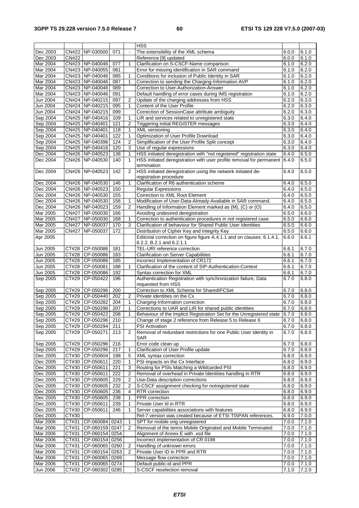|                 |                     |                      |     |                | <b>HSS</b>                                                                  |       |       |
|-----------------|---------------------|----------------------|-----|----------------|-----------------------------------------------------------------------------|-------|-------|
| Dec 2003        |                     | CN#22 NP-030500      | 071 | $\mathbf{r}$   | The extensibility of the XML schema                                         | 6.0.0 | 6.1.0 |
| Dec 2003        | <b>CN#22</b>        |                      |     |                | Reference [9] updated                                                       | 6.0.0 | 6.1.0 |
| Mar 2004        |                     | CN#23 NP-040046      | 077 | 1              | Clarification on S-CSCF-Name comparison                                     | 6.1.0 | 6.2.0 |
| Mar 2004        |                     | CN#23 NP-040055      | 081 |                | Error for missing identification in SAR command                             | 6.1.0 | 6.2.0 |
| Mar 2004        |                     | CN#23 NP-040046      | 085 | 1              | Conditions for inclusion of Public Identity in SAR                          | 6.1.0 | 6.2.0 |
|                 |                     |                      |     | 1              |                                                                             |       |       |
| Mar 2004        |                     | CN#23 NP-040046      | 087 |                | Correction to sending the Charging-Information AVP                          | 6.1.0 | 6.2.0 |
| Mar 2004        |                     | CN#23 NP-040046      | 089 |                | Correction to User-Authorization-Answer                                     | 6.1.0 | 6.2.0 |
| Mar 2004        |                     | CN#23 NP-040046      | 091 |                | Default handling of error cases during IMS registration                     | 6.1.0 | 6.2.0 |
| Jun 2004        |                     | CN#24 NP-040215      | 097 | $\overline{2}$ | Update of the charging addresses from HSS                                   | 6.2.0 | 6.3.0 |
| Jun 2004        |                     | CN#24 NP-040215      | 095 | 1              | Content of the User Profile                                                 | 6.2.0 | 6.3.0 |
| Jun 2004        |                     | CN#24 NP-040215      | 099 |                | Correction of SessionCase attribute ambiguity                               | 6.2.0 | 6.3.0 |
| Sep 2004        |                     | CN#25 NP-040416      | 109 | 1              | LIR and services related to unregistered state                              | 6.3.0 | 6.4.0 |
| Sep 2004        |                     | CN#25 NP-040401      | 121 | $\overline{2}$ | <b>Triggering initial REGISTER messages</b>                                 | 6.3.0 | 6.4.0 |
| Sep 2004        |                     | CN#25 NP-040401      | 118 | 1              | XML versioning                                                              | 6.3.0 | 6.4.0 |
| Sep 2004        |                     | CN#25 NP-040401      | 122 | 1              | Optimization of User Profile Download                                       | 6.3.0 | 6.4.0 |
|                 |                     | CN#25 NP-040396      | 124 | $\overline{2}$ |                                                                             | 6.3.0 | 6.4.0 |
| Sep 2004        |                     |                      |     |                | Simplification of the User Profile Split concept                            |       |       |
| Sep 2004        |                     | CN#25 NP-040416      | 120 | 3              | Use of regular expressions                                                  | 6.3.0 | 6.4.0 |
| Dec 2004        |                     | CN#26 NP-040523      | 138 | 1              | HSS initiated deregistration with "not registered" registration state       | 6.4.0 | 6.5.0 |
| Dec 2004        |                     | CN#26 NP-040530      | 140 | 1              | HSS initiated deregistration with user profile removal for permanent        | 6.4.0 | 6.5.0 |
|                 |                     |                      |     |                | termination                                                                 |       |       |
| Dec 2004        |                     | CN#26 NP-040523      | 142 | 2              | HSS initiated deregistration using the network initiated de-                | 6.4.0 | 6.5.0 |
|                 |                     |                      |     |                | registration procedure                                                      |       |       |
| Dec 2004        |                     | CN#26 NP-040530      | 146 | 1              | Clarification of R6 authentication scheme                                   | 6.4.0 | 6.5.0 |
| Dec 2004        |                     | CN#26 NP-040523      | 150 |                | <b>Regular Expressions</b>                                                  | 6.4.0 | 6.5.0 |
| Dec 2004        |                     | CN#26 NP-040530      | 155 |                | Correction to XML Root Element                                              | 6.4.0 | 6.5.0 |
| Dec 2004        |                     | CN#26 NP-040530      | 156 | 1              | Modification of User-Data-Already-Available in SAR command.                 | 6.4.0 | 6.5.0 |
| Dec 2004        |                     | CN#26 NP-040523      | 159 | $\overline{2}$ | Handling of Information Element marked as (M), (C) or (O)                   | 6.4.0 | 6.5.0 |
|                 |                     |                      |     |                |                                                                             |       |       |
| Mar 2005        |                     | CN#27 NP-050030      | 166 |                | Avoiding undesired deregistration                                           | 6.5.0 | 6.6.0 |
| Mar 2005        |                     | CN#27 NP-050030      | 168 | 1              | Correction to authentication procedures in not registered case              | 6.5.0 | 6.6.0 |
| Mar 2005        | <b>CN#27</b>        | NP-050037            | 170 | 3              | Clarification of behaviour for Shared Public User Identities                | 6.5.0 | 6.6.0 |
| Mar 2005        | <b>CN#27</b>        | NP-050037            | 172 |                | Distribution of Cipher Key and Integrity Key                                | 6.5.0 | 6.6.0 |
| Apr 2005        |                     |                      |     |                | Editorial correction on figure figure A.4.1.1 and on clauses: 6.1.4.1,      | 6.6.0 | 6.6.1 |
|                 |                     |                      |     |                | 6.2.2, B.2.1 and 6.2.1.1                                                    |       |       |
| Jun 2005        |                     | CT#28 CP-050086      | 181 |                | TEL-URI reference correction                                                | 6.6.1 | 6.7.0 |
| Jun 2005        |                     | CT#28 CP-050086      | 183 |                | <b>Clarification on Server Capabilities</b>                                 | 6.6.1 | 6.7.0 |
| Jun 2005        |                     | CT#28 CP-050086      | 185 |                | Incorrect Implementation of CR172                                           | 6.6.1 | 6.7.0 |
| Jun 2005        |                     | CT#28 CP-050081      | 188 | 1              | Clarification of the content of SIP-Authentication-Context                  | 6.6.1 | 6.7.0 |
| Jun 2005        |                     | CT#28 CP-050086      | 192 |                | Syntax correction for XML                                                   | 6.6.1 | 6.7.0 |
|                 | CT#29               | CP-050422            | 196 |                | Authentication Registration with synchronization failure, Data              |       | 6.8.0 |
| Sep 2005        |                     |                      |     |                | requested from HSS                                                          | 6.7.0 |       |
|                 |                     |                      |     |                |                                                                             |       |       |
| Sep 2005        | CT#29               | CP-050296            | 200 |                | Correction to XML Schema for SharedIFCSet                                   | 6.7.0 | 6.8.0 |
| Sep 2005        |                     | CT#29 CP-050440      | 202 | 2              | Private identities on the Cx                                                | 6.7.0 | 6.8.0 |
| Sep 2005        | CT#29               | CP-050282            | 204 | 1              | Charging-Information correction                                             | 6.7.0 | 6.8.0 |
| Sep 2005        |                     | CT#29 CP-050296      | 207 | 1              | Corrections to UAR and LIR for shared public identities                     | 6.7.0 | 6.8.0 |
| Sep 2005        |                     | CT#29 CP-050422      | 208 |                | Behaviour of the Implicit Registration Set for the Unregistered state 6.7.0 |       | 6.8.0 |
| Sep 2005        |                     | CT#29 CP-050296      | 210 |                | Change of stage 2 reference from Release 5 to Release 6                     | 6.7.0 | 6.8.0 |
| Sep 2005        |                     | CT#29 CP-050294      | 211 |                | <b>PSI Activation</b>                                                       | 6.7.0 | 6.8.0 |
| Sep 2005        |                     | CT#29 CP-050271      | 213 | 2              | Removal of redundant restrictions for one Public User Identity in           | 6.7.0 | 6.8.0 |
|                 |                     |                      |     |                | <b>SAR</b>                                                                  |       |       |
| Sep 2005        |                     | CT#29 CP-050296      | 216 |                | Error code clean up                                                         | 6.7.0 | 6.8.0 |
| Sep 2005        |                     | CT#29 CP-050296      | 217 | 1              | Clarification of User Profile update                                        | 6.7.0 | 6.8.0 |
| Dec 2005        |                     | CT#30 CP-050604      | 198 | 5              | XML syntax correction                                                       | 6.8.0 | 6.9.0 |
|                 |                     | CT#30 CP-050611      |     |                |                                                                             |       |       |
| Dec 2005        |                     |                      | 220 | 1              | PSI impacts on the Cx Interface                                             | 6.8.0 | 6.9.0 |
| Dec 2005        |                     | CT#30 CP-050611      | 221 | 3              | Routing for PSIs Matching a Wildcarded PSI                                  | 6.8.0 | 6.9.0 |
| Dec 2005        |                     | CT#30 CP-050611      | 222 | 2              | Removal of overhead in Private Identities handling in RTR                   | 6.8.0 | 6.9.0 |
| Dec 2005        |                     | CT#30 CP-050605      | 229 | 2              | Use-Data description corrections                                            | 6.8.0 | 6.9.0 |
| Dec 2005        |                     | CT#30 CP-050605      | 232 | 2              | S-CSCF assignment checking for notregistered state                          | 6.8.0 | 6.9.0 |
| Dec 2005        |                     | CT#30 CP-050605      | 236 | 4              | <b>RTR</b> correction                                                       | 6.8.0 | 6.9.0 |
| Dec 2005        |                     | CT#30 CP-050605      | 238 | 1              | PPR correction                                                              | 6.8.0 | 6.9.0 |
| Dec 2005        |                     | CT#30 CP-050611      | 239 | 1              | Private User Id in RTR                                                      | 6.8.0 | 6.9.0 |
| Dec 2005        | CT#30               | CP-050611            | 246 | 1              | Server capabilities associations with features                              | 6.8.0 | 6.9.0 |
| Dec 2005        | CT#30               |                      |     |                | Rel-7 version was created because of ETSI TISPAN references.                | 6.9.0 | 7.0.0 |
|                 |                     |                      |     |                |                                                                             |       |       |
| Mar 2006        |                     | CT#31 CP-060084 0243 |     | 1              | SPT for mobile orig unregistered                                            | 7.0.0 | 7.1.0 |
| Mar 2006        | $\overline{C}$ T#31 | CP-060159 0247       |     | 2              | Removal of the terms Mobile Originated and Mobile Terminated                | 7.0.0 | 7.1.0 |
| <b>Mar 2006</b> |                     |                      |     |                | Alignment of Annex E with .xsd file                                         | 7.0.0 | 7.1.0 |
|                 | CT#31               | CP-060154 0254       |     |                |                                                                             |       |       |
| Mar 2006        | CT#31               | CP-060154 0256       |     |                | Incorrect implementation of CR 0198                                         | 7.0.0 | 7.1.0 |
| Mar 2006        | CT#31               | CP-060065 0260       |     | 2              | Handling of unknown errors                                                  | 7.0.0 | 7.1.0 |
| <b>Mar 2006</b> | CT#31               | CP-060154 0263       |     | 2              | Private User ID in PPR and RTR                                              | 7.0.0 | 7.1.0 |
| Mar 2006        | CT#31               | CP-060065 0269       |     |                | Message flow correction                                                     | 7.0.0 | 7.1.0 |
| Mar 2006        | CT#31               | CP-060065 0274       |     |                | Default public-id and PPR                                                   | 7.0.0 | 7.1.0 |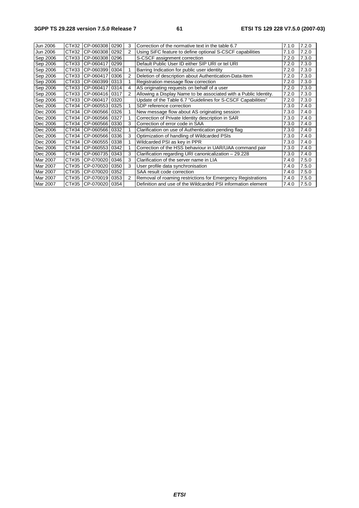#### **3GPP TS 29.228 version 7.5.0 Release 7 61 ETSI TS 129 228 V7.5.0 (2007-03)**

| Jun 2006 | CT#32 | CP-060308         | 0290 | 3             | Correction of the normative text in the table 6.7                | 7.1.0 | 7.2.0 |
|----------|-------|-------------------|------|---------------|------------------------------------------------------------------|-------|-------|
| Jun 2006 | CT#32 | CP-060308         | 0292 | 2             | Using SiFC feature to define optional S-CSCF capabilities        | 7.1.0 | 7.2.0 |
| Sep 2006 | CT#33 | CP-060308         | 0296 |               | S-CSCF assignment correction                                     | 7.2.0 | 7.3.0 |
| Sep 2006 | CT#33 | CP-060417         | 0299 |               | Default Public User ID either SIP URI or tel URI                 | 7.2.0 | 7.3.0 |
| Sep 2006 | CT#33 | CP-060399         | 0304 |               | Barring Indication for public user identity                      | 7.2.0 | 7.3.0 |
| Sep 2006 | CT#33 | CP-060417         | 0306 | 2             | Deletion of description about Authentication-Data-Item           | 7.2.0 | 7.3.0 |
| Sep 2006 | CT#33 | CP-060399         | 0313 |               | Registration message flow correction                             | 7.2.0 | 7.3.0 |
| Sep 2006 | CT#33 | CP-060417         | 0314 | 4             | AS originating requests on behalf of a user                      | 7.2.0 | 7.3.0 |
| Sep 2006 | CT#33 | CP-060416         | 0317 | $\mathcal{P}$ | Allowing a Display Name to be associated with a Public Identity. | 7.2.0 | 7.3.0 |
| Sep 2006 | CT#33 | CP-060417         | 0320 |               | Update of the Table 6.7 "Guidelines for S-CSCF Capabilities"     | 7.2.0 | 7.3.0 |
| Dec 2006 | CT#34 | CP-060553         | 0325 |               | SDP reference correction                                         | 7.3.0 | 7.4.0 |
| Dec 2006 | CT#34 | CP-060566         | 0326 |               | New message flow about AS originating session                    | 7.3.0 | 7.4.0 |
| Dec 2006 | CT#34 | CP-060566         | 0327 |               | Correction of Private Identity description in SAR                | 7.3.0 | 7.4.0 |
| Dec 2006 | CT#34 | CP-060566         | 0330 | 3             | Correction of error code in SAA                                  | 7.3.0 | 7.4.0 |
| Dec 2006 | CT#34 | CP-060566         | 0332 |               | Clarification on use of Authentication pending flag              | 7.3.0 | 7.4.0 |
| Dec 2006 | CT#34 | CP-060566         | 0336 | 3             | Optimization of handling of Wildcarded PSIs                      | 7.3.0 | 7.4.0 |
| Dec 2006 | CT#34 | CP-060555         | 0338 |               | Wildcarded PSI as key in PPR                                     | 7.3.0 | 7.4.0 |
| Dec 2006 | CT#34 | CP-060553         | 0342 |               | Correction of the HSS behaviour in UAR/UAA command pair          | 7.3.0 | 7.4.0 |
| Dec 2006 | CT#34 | CP-060735         | 0343 | 3             | Clarification regarding URI canonicalization - 29.228            | 7.3.0 | 7.4.0 |
| Mar 2007 | CT#35 | CP-070020         | 0346 | 3             | Clarification of the server name in LIA                          | 7.4.0 | 7.5.0 |
| Mar 2007 | CT#35 | CP-070020         | 0350 | 3             | User profile data synchronisation                                | 7.4.0 | 7.5.0 |
| Mar 2007 | CT#35 | CP-070020         | 0352 |               | SAA result code correction                                       | 7.4.0 | 7.5.0 |
| Mar 2007 | CT#35 | CP-070019         | 0353 | $\mathcal{P}$ | Removal of roaming restrictions for Emergency Registrations      | 7.4.0 | 7.5.0 |
| Mar 2007 |       | CT#35   CP-070020 | 0354 |               | Definition and use of the Wildcarded PSI information element     | 7.4.0 | 7.5.0 |